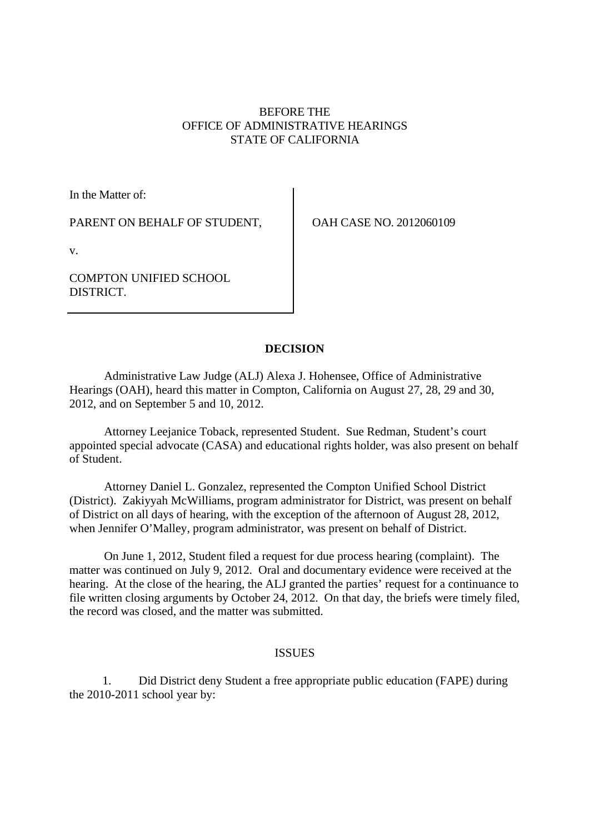## BEFORE THE OFFICE OF ADMINISTRATIVE HEARINGS STATE OF CALIFORNIA

In the Matter of:

PARENT ON BEHALF OF STUDENT,

OAH CASE NO. 2012060109

v.

COMPTON UNIFIED SCHOOL DISTRICT.

## **DECISION**

Administrative Law Judge (ALJ) Alexa J. Hohensee, Office of Administrative Hearings (OAH), heard this matter in Compton, California on August 27, 28, 29 and 30, 2012, and on September 5 and 10, 2012.

Attorney Leejanice Toback, represented Student. Sue Redman, Student's court appointed special advocate (CASA) and educational rights holder, was also present on behalf of Student.

Attorney Daniel L. Gonzalez, represented the Compton Unified School District (District). Zakiyyah McWilliams, program administrator for District, was present on behalf of District on all days of hearing, with the exception of the afternoon of August 28, 2012, when Jennifer O'Malley, program administrator, was present on behalf of District.

On June 1, 2012, Student filed a request for due process hearing (complaint). The matter was continued on July 9, 2012. Oral and documentary evidence were received at the hearing. At the close of the hearing, the ALJ granted the parties' request for a continuance to file written closing arguments by October 24, 2012. On that day, the briefs were timely filed, the record was closed, and the matter was submitted.

### ISSUES

1. Did District deny Student a free appropriate public education (FAPE) during the 2010-2011 school year by: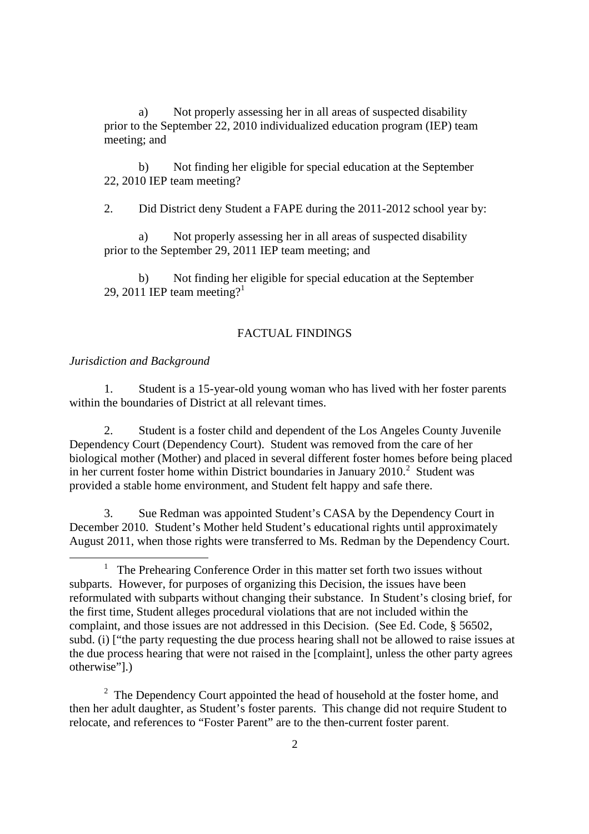a) Not properly assessing her in all areas of suspected disability prior to the September 22, 2010 individualized education program (IEP) team meeting; and

b) Not finding her eligible for special education at the September 22, 2010 IEP team meeting?

2. Did District deny Student a FAPE during the 2011-2012 school year by:

a) Not properly assessing her in all areas of suspected disability prior to the September 29, 2011 IEP team meeting; and

b) Not finding her eligible for special education at the September 29, 2011 IEP team meeting?<sup>1</sup>

## FACTUAL FINDINGS

#### *Jurisdiction and Background*

1. Student is a 15-year-old young woman who has lived with her foster parents within the boundaries of District at all relevant times.

2. Student is a foster child and dependent of the Los Angeles County Juvenile Dependency Court (Dependency Court). Student was removed from the care of her biological mother (Mother) and placed in several different foster homes before being placed in her current foster home within District boundaries in January  $2010$ <sup>2</sup> Student was provided a stable home environment, and Student felt happy and safe there.

3. Sue Redman was appointed Student's CASA by the Dependency Court in December 2010. Student's Mother held Student's educational rights until approximately August 2011, when those rights were transferred to Ms. Redman by the Dependency Court.

 $2\degree$  The Dependency Court appointed the head of household at the foster home, and then her adult daughter, as Student's foster parents. This change did not require Student to relocate, and references to "Foster Parent" are to the then-current foster parent.

<sup>1</sup> The Prehearing Conference Order in this matter set forth two issues without subparts. However, for purposes of organizing this Decision, the issues have been reformulated with subparts without changing their substance. In Student's closing brief, for the first time, Student alleges procedural violations that are not included within the complaint, and those issues are not addressed in this Decision. (See Ed. Code, § 56502, subd. (i) ["the party requesting the due process hearing shall not be allowed to raise issues at the due process hearing that were not raised in the [complaint], unless the other party agrees otherwise"].)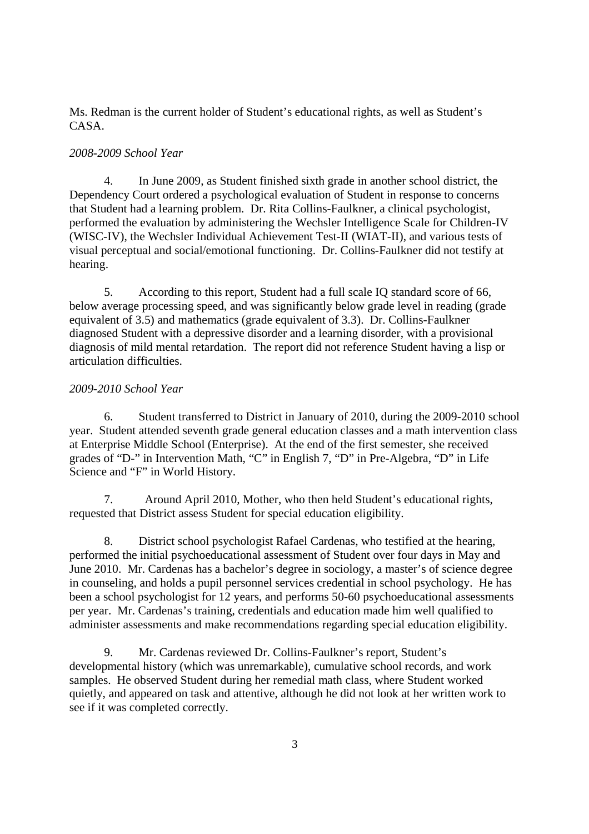Ms. Redman is the current holder of Student's educational rights, as well as Student's CASA.

# *2008-2009 School Year*

4. In June 2009, as Student finished sixth grade in another school district, the Dependency Court ordered a psychological evaluation of Student in response to concerns that Student had a learning problem. Dr. Rita Collins-Faulkner, a clinical psychologist, performed the evaluation by administering the Wechsler Intelligence Scale for Children-IV (WISC-IV), the Wechsler Individual Achievement Test-II (WIAT-II), and various tests of visual perceptual and social/emotional functioning. Dr. Collins-Faulkner did not testify at hearing.

5. According to this report, Student had a full scale IQ standard score of 66, below average processing speed, and was significantly below grade level in reading (grade equivalent of 3.5) and mathematics (grade equivalent of 3.3). Dr. Collins-Faulkner diagnosed Student with a depressive disorder and a learning disorder, with a provisional diagnosis of mild mental retardation. The report did not reference Student having a lisp or articulation difficulties.

## *2009-2010 School Year*

6. Student transferred to District in January of 2010, during the 2009-2010 school year. Student attended seventh grade general education classes and a math intervention class at Enterprise Middle School (Enterprise). At the end of the first semester, she received grades of "D-" in Intervention Math, "C" in English 7, "D" in Pre-Algebra, "D" in Life Science and "F" in World History.

7. Around April 2010, Mother, who then held Student's educational rights, requested that District assess Student for special education eligibility.

8. District school psychologist Rafael Cardenas, who testified at the hearing, performed the initial psychoeducational assessment of Student over four days in May and June 2010. Mr. Cardenas has a bachelor's degree in sociology, a master's of science degree in counseling, and holds a pupil personnel services credential in school psychology. He has been a school psychologist for 12 years, and performs 50-60 psychoeducational assessments per year. Mr. Cardenas's training, credentials and education made him well qualified to administer assessments and make recommendations regarding special education eligibility.

9. Mr. Cardenas reviewed Dr. Collins-Faulkner's report, Student's developmental history (which was unremarkable), cumulative school records, and work samples. He observed Student during her remedial math class, where Student worked quietly, and appeared on task and attentive, although he did not look at her written work to see if it was completed correctly.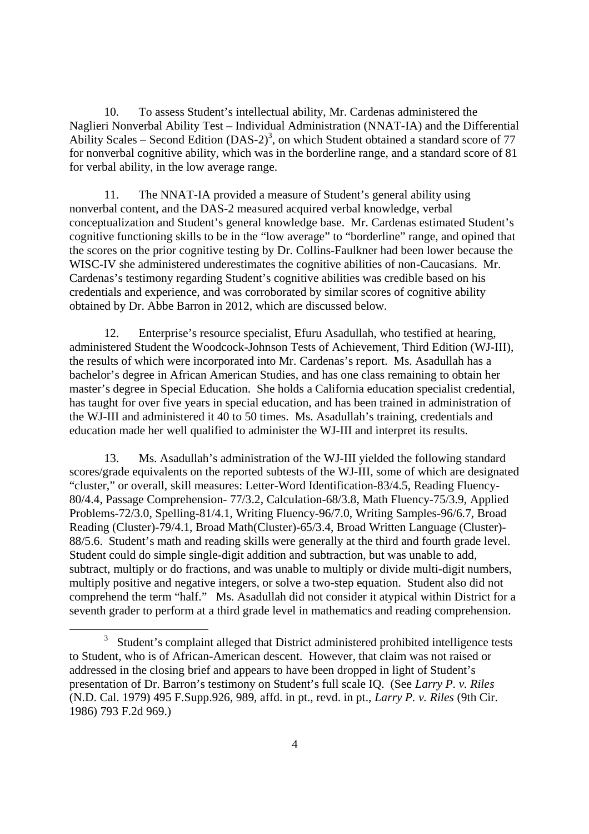10. To assess Student's intellectual ability, Mr. Cardenas administered the Naglieri Nonverbal Ability Test – Individual Administration (NNAT-IA) and the Differential Ability Scales – Second Edition  $(DAS-2)^3$ , on which Student obtained a standard score of 77 for nonverbal cognitive ability, which was in the borderline range, and a standard score of 81 for verbal ability, in the low average range.

11. The NNAT-IA provided a measure of Student's general ability using nonverbal content, and the DAS-2 measured acquired verbal knowledge, verbal conceptualization and Student's general knowledge base. Mr. Cardenas estimated Student's cognitive functioning skills to be in the "low average" to "borderline" range, and opined that the scores on the prior cognitive testing by Dr. Collins-Faulkner had been lower because the WISC-IV she administered underestimates the cognitive abilities of non-Caucasians. Mr. Cardenas's testimony regarding Student's cognitive abilities was credible based on his credentials and experience, and was corroborated by similar scores of cognitive ability obtained by Dr. Abbe Barron in 2012, which are discussed below.

12. Enterprise's resource specialist, Efuru Asadullah, who testified at hearing, administered Student the Woodcock-Johnson Tests of Achievement, Third Edition (WJ-III), the results of which were incorporated into Mr. Cardenas's report. Ms. Asadullah has a bachelor's degree in African American Studies, and has one class remaining to obtain her master's degree in Special Education. She holds a California education specialist credential, has taught for over five years in special education, and has been trained in administration of the WJ-III and administered it 40 to 50 times. Ms. Asadullah's training, credentials and education made her well qualified to administer the WJ-III and interpret its results.

13. Ms. Asadullah's administration of the WJ-III yielded the following standard scores/grade equivalents on the reported subtests of the WJ-III, some of which are designated "cluster," or overall, skill measures: Letter-Word Identification-83/4.5, Reading Fluency-80/4.4, Passage Comprehension- 77/3.2, Calculation-68/3.8, Math Fluency-75/3.9, Applied Problems-72/3.0, Spelling-81/4.1, Writing Fluency-96/7.0, Writing Samples-96/6.7, Broad Reading (Cluster)-79/4.1, Broad Math(Cluster)-65/3.4, Broad Written Language (Cluster)- 88/5.6. Student's math and reading skills were generally at the third and fourth grade level. Student could do simple single-digit addition and subtraction, but was unable to add, subtract, multiply or do fractions, and was unable to multiply or divide multi-digit numbers, multiply positive and negative integers, or solve a two-step equation. Student also did not comprehend the term "half." Ms. Asadullah did not consider it atypical within District for a seventh grader to perform at a third grade level in mathematics and reading comprehension.

<sup>3</sup> Student's complaint alleged that District administered prohibited intelligence tests to Student, who is of African-American descent. However, that claim was not raised or addressed in the closing brief and appears to have been dropped in light of Student's presentation of Dr. Barron's testimony on Student's full scale IQ. (See *Larry P. v. Riles* (N.D. Cal. 1979) 495 F.Supp.926, 989, affd. in pt., revd. in pt., *Larry P. v. Riles* (9th Cir. 1986) 793 F.2d 969.)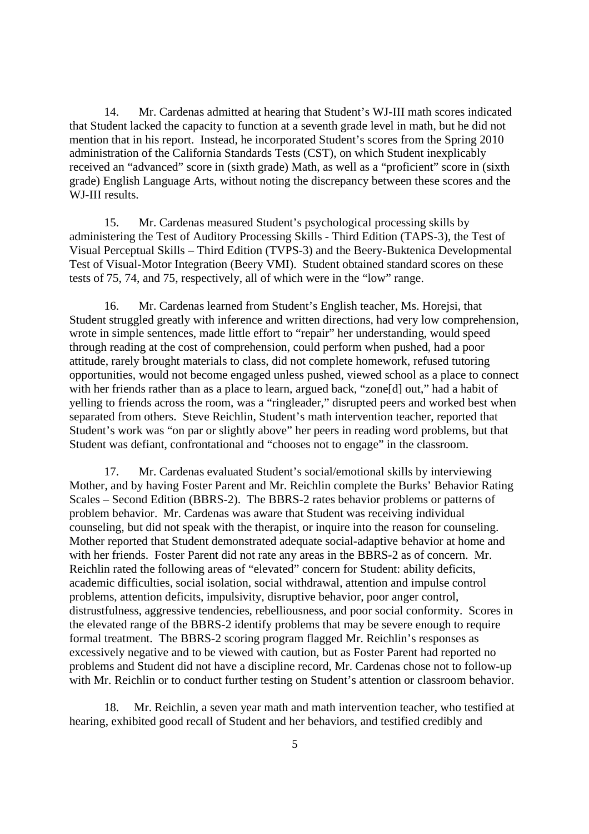14. Mr. Cardenas admitted at hearing that Student's WJ-III math scores indicated that Student lacked the capacity to function at a seventh grade level in math, but he did not mention that in his report. Instead, he incorporated Student's scores from the Spring 2010 administration of the California Standards Tests (CST), on which Student inexplicably received an "advanced" score in (sixth grade) Math, as well as a "proficient" score in (sixth grade) English Language Arts, without noting the discrepancy between these scores and the WJ-III results.

15. Mr. Cardenas measured Student's psychological processing skills by administering the Test of Auditory Processing Skills - Third Edition (TAPS-3), the Test of Visual Perceptual Skills – Third Edition (TVPS-3) and the Beery-Buktenica Developmental Test of Visual-Motor Integration (Beery VMI). Student obtained standard scores on these tests of 75, 74, and 75, respectively, all of which were in the "low" range.

16. Mr. Cardenas learned from Student's English teacher, Ms. Horejsi, that Student struggled greatly with inference and written directions, had very low comprehension, wrote in simple sentences, made little effort to "repair" her understanding, would speed through reading at the cost of comprehension, could perform when pushed, had a poor attitude, rarely brought materials to class, did not complete homework, refused tutoring opportunities, would not become engaged unless pushed, viewed school as a place to connect with her friends rather than as a place to learn, argued back, "zone[d] out," had a habit of yelling to friends across the room, was a "ringleader," disrupted peers and worked best when separated from others. Steve Reichlin, Student's math intervention teacher, reported that Student's work was "on par or slightly above" her peers in reading word problems, but that Student was defiant, confrontational and "chooses not to engage" in the classroom.

17. Mr. Cardenas evaluated Student's social/emotional skills by interviewing Mother, and by having Foster Parent and Mr. Reichlin complete the Burks' Behavior Rating Scales – Second Edition (BBRS-2). The BBRS-2 rates behavior problems or patterns of problem behavior. Mr. Cardenas was aware that Student was receiving individual counseling, but did not speak with the therapist, or inquire into the reason for counseling. Mother reported that Student demonstrated adequate social-adaptive behavior at home and with her friends. Foster Parent did not rate any areas in the BBRS-2 as of concern. Mr. Reichlin rated the following areas of "elevated" concern for Student: ability deficits, academic difficulties, social isolation, social withdrawal, attention and impulse control problems, attention deficits, impulsivity, disruptive behavior, poor anger control, distrustfulness, aggressive tendencies, rebelliousness, and poor social conformity. Scores in the elevated range of the BBRS-2 identify problems that may be severe enough to require formal treatment. The BBRS-2 scoring program flagged Mr. Reichlin's responses as excessively negative and to be viewed with caution, but as Foster Parent had reported no problems and Student did not have a discipline record, Mr. Cardenas chose not to follow-up with Mr. Reichlin or to conduct further testing on Student's attention or classroom behavior.

18. Mr. Reichlin, a seven year math and math intervention teacher, who testified at hearing, exhibited good recall of Student and her behaviors, and testified credibly and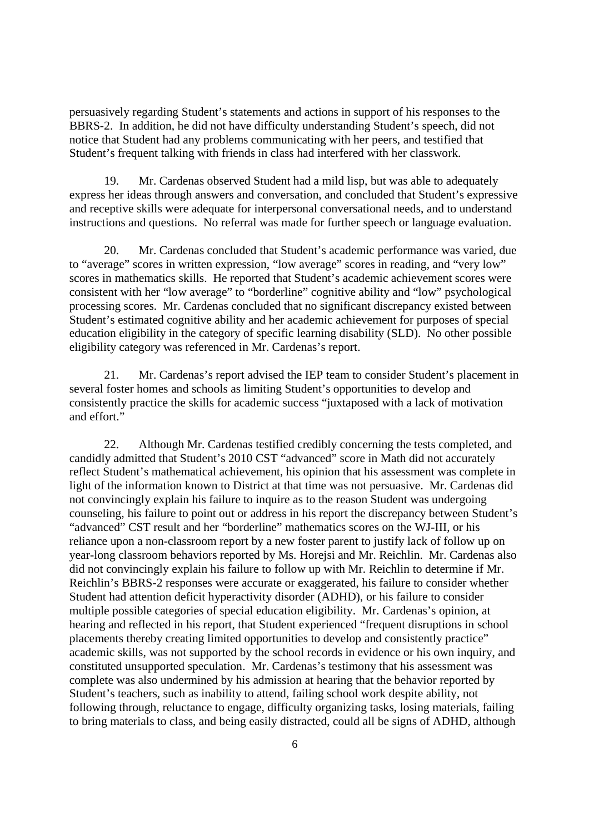persuasively regarding Student's statements and actions in support of his responses to the BBRS-2. In addition, he did not have difficulty understanding Student's speech, did not notice that Student had any problems communicating with her peers, and testified that Student's frequent talking with friends in class had interfered with her classwork.

19. Mr. Cardenas observed Student had a mild lisp, but was able to adequately express her ideas through answers and conversation, and concluded that Student's expressive and receptive skills were adequate for interpersonal conversational needs, and to understand instructions and questions. No referral was made for further speech or language evaluation.

20. Mr. Cardenas concluded that Student's academic performance was varied, due to "average" scores in written expression, "low average" scores in reading, and "very low" scores in mathematics skills. He reported that Student's academic achievement scores were consistent with her "low average" to "borderline" cognitive ability and "low" psychological processing scores. Mr. Cardenas concluded that no significant discrepancy existed between Student's estimated cognitive ability and her academic achievement for purposes of special education eligibility in the category of specific learning disability (SLD). No other possible eligibility category was referenced in Mr. Cardenas's report.

21. Mr. Cardenas's report advised the IEP team to consider Student's placement in several foster homes and schools as limiting Student's opportunities to develop and consistently practice the skills for academic success "juxtaposed with a lack of motivation and effort."

22. Although Mr. Cardenas testified credibly concerning the tests completed, and candidly admitted that Student's 2010 CST "advanced" score in Math did not accurately reflect Student's mathematical achievement, his opinion that his assessment was complete in light of the information known to District at that time was not persuasive. Mr. Cardenas did not convincingly explain his failure to inquire as to the reason Student was undergoing counseling, his failure to point out or address in his report the discrepancy between Student's "advanced" CST result and her "borderline" mathematics scores on the WJ-III, or his reliance upon a non-classroom report by a new foster parent to justify lack of follow up on year-long classroom behaviors reported by Ms. Horejsi and Mr. Reichlin. Mr. Cardenas also did not convincingly explain his failure to follow up with Mr. Reichlin to determine if Mr. Reichlin's BBRS-2 responses were accurate or exaggerated, his failure to consider whether Student had attention deficit hyperactivity disorder (ADHD), or his failure to consider multiple possible categories of special education eligibility. Mr. Cardenas's opinion, at hearing and reflected in his report, that Student experienced "frequent disruptions in school placements thereby creating limited opportunities to develop and consistently practice" academic skills, was not supported by the school records in evidence or his own inquiry, and constituted unsupported speculation. Mr. Cardenas's testimony that his assessment was complete was also undermined by his admission at hearing that the behavior reported by Student's teachers, such as inability to attend, failing school work despite ability, not following through, reluctance to engage, difficulty organizing tasks, losing materials, failing to bring materials to class, and being easily distracted, could all be signs of ADHD, although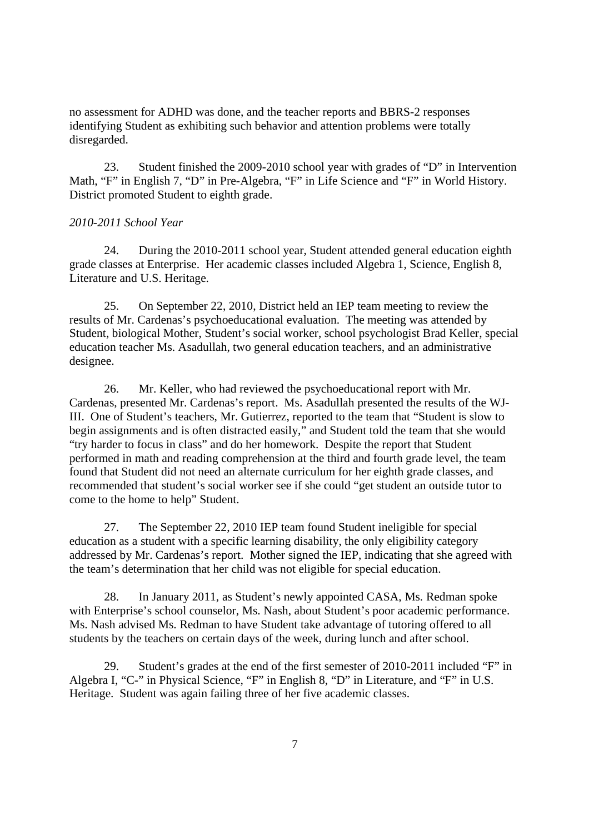no assessment for ADHD was done, and the teacher reports and BBRS-2 responses identifying Student as exhibiting such behavior and attention problems were totally disregarded.

23. Student finished the 2009-2010 school year with grades of "D" in Intervention Math, "F" in English 7, "D" in Pre-Algebra, "F" in Life Science and "F" in World History. District promoted Student to eighth grade.

## *2010-2011 School Year*

24. During the 2010-2011 school year, Student attended general education eighth grade classes at Enterprise. Her academic classes included Algebra 1, Science, English 8, Literature and U.S. Heritage.

25. On September 22, 2010, District held an IEP team meeting to review the results of Mr. Cardenas's psychoeducational evaluation. The meeting was attended by Student, biological Mother, Student's social worker, school psychologist Brad Keller, special education teacher Ms. Asadullah, two general education teachers, and an administrative designee.

26. Mr. Keller, who had reviewed the psychoeducational report with Mr. Cardenas, presented Mr. Cardenas's report. Ms. Asadullah presented the results of the WJ-III. One of Student's teachers, Mr. Gutierrez, reported to the team that "Student is slow to begin assignments and is often distracted easily," and Student told the team that she would "try harder to focus in class" and do her homework. Despite the report that Student performed in math and reading comprehension at the third and fourth grade level, the team found that Student did not need an alternate curriculum for her eighth grade classes, and recommended that student's social worker see if she could "get student an outside tutor to come to the home to help" Student.

27. The September 22, 2010 IEP team found Student ineligible for special education as a student with a specific learning disability, the only eligibility category addressed by Mr. Cardenas's report. Mother signed the IEP, indicating that she agreed with the team's determination that her child was not eligible for special education.

28. In January 2011, as Student's newly appointed CASA, Ms. Redman spoke with Enterprise's school counselor, Ms. Nash, about Student's poor academic performance. Ms. Nash advised Ms. Redman to have Student take advantage of tutoring offered to all students by the teachers on certain days of the week, during lunch and after school.

29. Student's grades at the end of the first semester of 2010-2011 included "F" in Algebra I, "C-" in Physical Science, "F" in English 8, "D" in Literature, and "F" in U.S. Heritage. Student was again failing three of her five academic classes.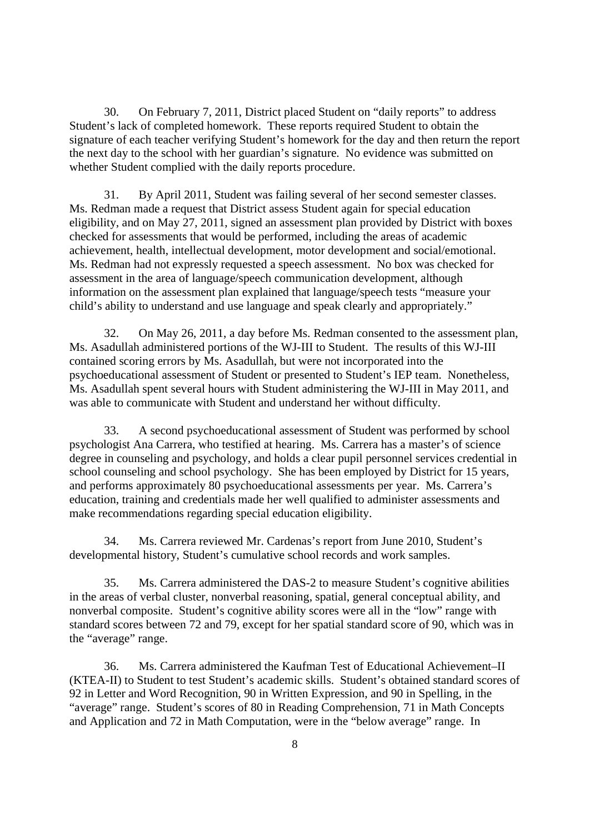30. On February 7, 2011, District placed Student on "daily reports" to address Student's lack of completed homework. These reports required Student to obtain the signature of each teacher verifying Student's homework for the day and then return the report the next day to the school with her guardian's signature. No evidence was submitted on whether Student complied with the daily reports procedure.

31. By April 2011, Student was failing several of her second semester classes. Ms. Redman made a request that District assess Student again for special education eligibility, and on May 27, 2011, signed an assessment plan provided by District with boxes checked for assessments that would be performed, including the areas of academic achievement, health, intellectual development, motor development and social/emotional. Ms. Redman had not expressly requested a speech assessment. No box was checked for assessment in the area of language/speech communication development, although information on the assessment plan explained that language/speech tests "measure your child's ability to understand and use language and speak clearly and appropriately."

32. On May 26, 2011, a day before Ms. Redman consented to the assessment plan, Ms. Asadullah administered portions of the WJ-III to Student. The results of this WJ-III contained scoring errors by Ms. Asadullah, but were not incorporated into the psychoeducational assessment of Student or presented to Student's IEP team. Nonetheless, Ms. Asadullah spent several hours with Student administering the WJ-III in May 2011, and was able to communicate with Student and understand her without difficulty.

33. A second psychoeducational assessment of Student was performed by school psychologist Ana Carrera, who testified at hearing. Ms. Carrera has a master's of science degree in counseling and psychology, and holds a clear pupil personnel services credential in school counseling and school psychology. She has been employed by District for 15 years, and performs approximately 80 psychoeducational assessments per year. Ms. Carrera's education, training and credentials made her well qualified to administer assessments and make recommendations regarding special education eligibility.

34. Ms. Carrera reviewed Mr. Cardenas's report from June 2010, Student's developmental history, Student's cumulative school records and work samples.

35. Ms. Carrera administered the DAS-2 to measure Student's cognitive abilities in the areas of verbal cluster, nonverbal reasoning, spatial, general conceptual ability, and nonverbal composite. Student's cognitive ability scores were all in the "low" range with standard scores between 72 and 79, except for her spatial standard score of 90, which was in the "average" range.

36. Ms. Carrera administered the Kaufman Test of Educational Achievement–II (KTEA-II) to Student to test Student's academic skills. Student's obtained standard scores of 92 in Letter and Word Recognition, 90 in Written Expression, and 90 in Spelling, in the "average" range. Student's scores of 80 in Reading Comprehension, 71 in Math Concepts and Application and 72 in Math Computation, were in the "below average" range. In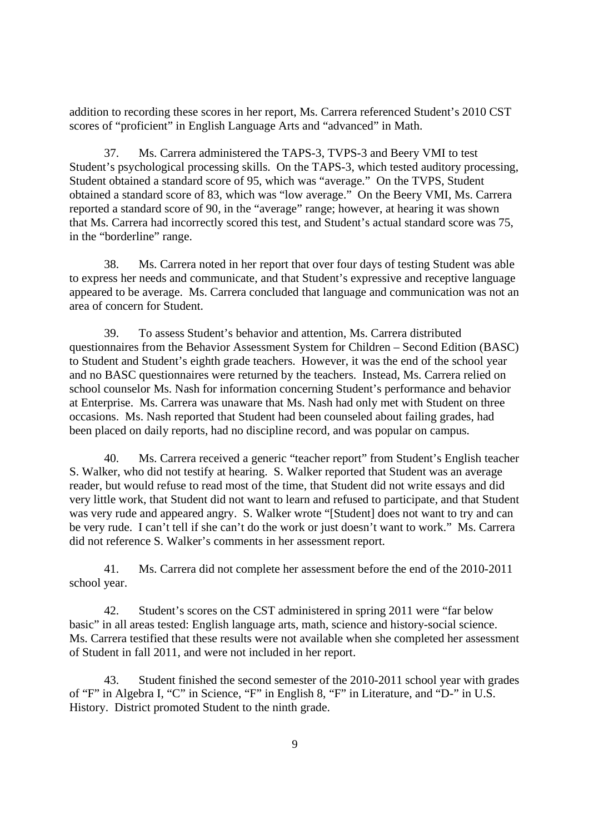addition to recording these scores in her report, Ms. Carrera referenced Student's 2010 CST scores of "proficient" in English Language Arts and "advanced" in Math.

37. Ms. Carrera administered the TAPS-3, TVPS-3 and Beery VMI to test Student's psychological processing skills. On the TAPS-3, which tested auditory processing, Student obtained a standard score of 95, which was "average." On the TVPS, Student obtained a standard score of 83, which was "low average." On the Beery VMI, Ms. Carrera reported a standard score of 90, in the "average" range; however, at hearing it was shown that Ms. Carrera had incorrectly scored this test, and Student's actual standard score was 75, in the "borderline" range.

38. Ms. Carrera noted in her report that over four days of testing Student was able to express her needs and communicate, and that Student's expressive and receptive language appeared to be average. Ms. Carrera concluded that language and communication was not an area of concern for Student.

39. To assess Student's behavior and attention, Ms. Carrera distributed questionnaires from the Behavior Assessment System for Children – Second Edition (BASC) to Student and Student's eighth grade teachers. However, it was the end of the school year and no BASC questionnaires were returned by the teachers. Instead, Ms. Carrera relied on school counselor Ms. Nash for information concerning Student's performance and behavior at Enterprise. Ms. Carrera was unaware that Ms. Nash had only met with Student on three occasions. Ms. Nash reported that Student had been counseled about failing grades, had been placed on daily reports, had no discipline record, and was popular on campus.

40. Ms. Carrera received a generic "teacher report" from Student's English teacher S. Walker, who did not testify at hearing. S. Walker reported that Student was an average reader, but would refuse to read most of the time, that Student did not write essays and did very little work, that Student did not want to learn and refused to participate, and that Student was very rude and appeared angry. S. Walker wrote "[Student] does not want to try and can be very rude. I can't tell if she can't do the work or just doesn't want to work." Ms. Carrera did not reference S. Walker's comments in her assessment report.

41. Ms. Carrera did not complete her assessment before the end of the 2010-2011 school year.

42. Student's scores on the CST administered in spring 2011 were "far below basic" in all areas tested: English language arts, math, science and history-social science. Ms. Carrera testified that these results were not available when she completed her assessment of Student in fall 2011, and were not included in her report.

43. Student finished the second semester of the 2010-2011 school year with grades of "F" in Algebra I, "C" in Science, "F" in English 8, "F" in Literature, and "D-" in U.S. History. District promoted Student to the ninth grade.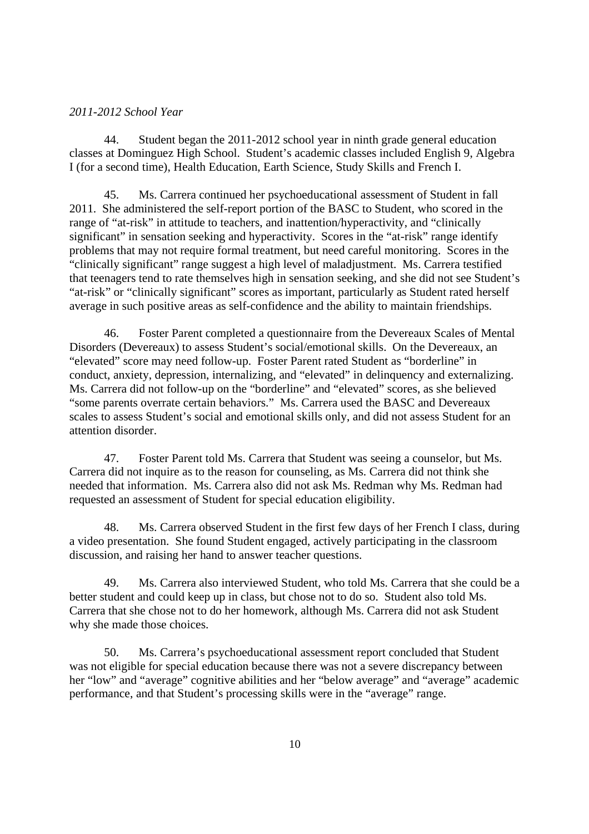#### *2011-2012 School Year*

44. Student began the 2011-2012 school year in ninth grade general education classes at Dominguez High School. Student's academic classes included English 9, Algebra I (for a second time), Health Education, Earth Science, Study Skills and French I.

45. Ms. Carrera continued her psychoeducational assessment of Student in fall 2011. She administered the self-report portion of the BASC to Student, who scored in the range of "at-risk" in attitude to teachers, and inattention/hyperactivity, and "clinically significant" in sensation seeking and hyperactivity. Scores in the "at-risk" range identify problems that may not require formal treatment, but need careful monitoring. Scores in the "clinically significant" range suggest a high level of maladjustment. Ms. Carrera testified that teenagers tend to rate themselves high in sensation seeking, and she did not see Student's "at-risk" or "clinically significant" scores as important, particularly as Student rated herself average in such positive areas as self-confidence and the ability to maintain friendships.

46. Foster Parent completed a questionnaire from the Devereaux Scales of Mental Disorders (Devereaux) to assess Student's social/emotional skills. On the Devereaux, an "elevated" score may need follow-up. Foster Parent rated Student as "borderline" in conduct, anxiety, depression, internalizing, and "elevated" in delinquency and externalizing. Ms. Carrera did not follow-up on the "borderline" and "elevated" scores, as she believed "some parents overrate certain behaviors." Ms. Carrera used the BASC and Devereaux scales to assess Student's social and emotional skills only, and did not assess Student for an attention disorder.

47. Foster Parent told Ms. Carrera that Student was seeing a counselor, but Ms. Carrera did not inquire as to the reason for counseling, as Ms. Carrera did not think she needed that information. Ms. Carrera also did not ask Ms. Redman why Ms. Redman had requested an assessment of Student for special education eligibility.

48. Ms. Carrera observed Student in the first few days of her French I class, during a video presentation. She found Student engaged, actively participating in the classroom discussion, and raising her hand to answer teacher questions.

49. Ms. Carrera also interviewed Student, who told Ms. Carrera that she could be a better student and could keep up in class, but chose not to do so. Student also told Ms. Carrera that she chose not to do her homework, although Ms. Carrera did not ask Student why she made those choices.

50. Ms. Carrera's psychoeducational assessment report concluded that Student was not eligible for special education because there was not a severe discrepancy between her "low" and "average" cognitive abilities and her "below average" and "average" academic performance, and that Student's processing skills were in the "average" range.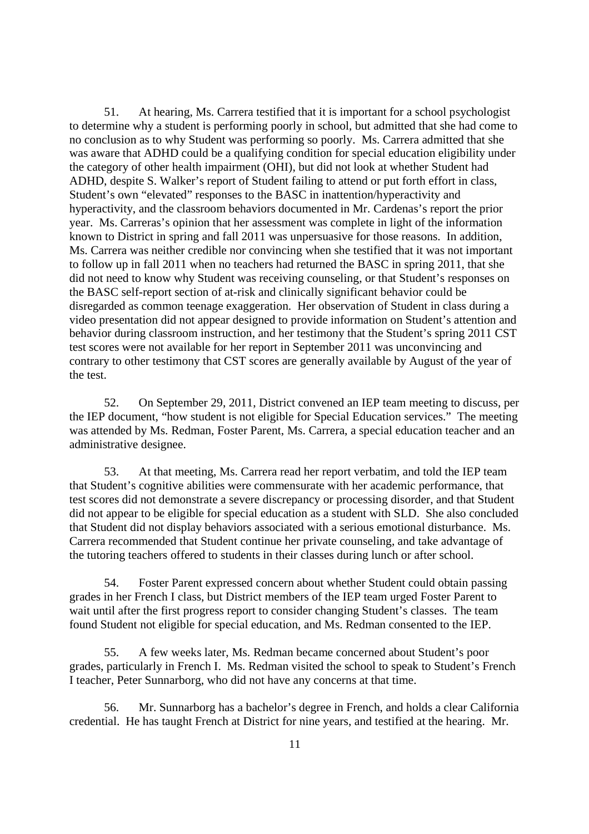51. At hearing, Ms. Carrera testified that it is important for a school psychologist to determine why a student is performing poorly in school, but admitted that she had come to no conclusion as to why Student was performing so poorly. Ms. Carrera admitted that she was aware that ADHD could be a qualifying condition for special education eligibility under the category of other health impairment (OHI), but did not look at whether Student had ADHD, despite S. Walker's report of Student failing to attend or put forth effort in class, Student's own "elevated" responses to the BASC in inattention/hyperactivity and hyperactivity, and the classroom behaviors documented in Mr. Cardenas's report the prior year. Ms. Carreras's opinion that her assessment was complete in light of the information known to District in spring and fall 2011 was unpersuasive for those reasons. In addition, Ms. Carrera was neither credible nor convincing when she testified that it was not important to follow up in fall 2011 when no teachers had returned the BASC in spring 2011, that she did not need to know why Student was receiving counseling, or that Student's responses on the BASC self-report section of at-risk and clinically significant behavior could be disregarded as common teenage exaggeration. Her observation of Student in class during a video presentation did not appear designed to provide information on Student's attention and behavior during classroom instruction, and her testimony that the Student's spring 2011 CST test scores were not available for her report in September 2011 was unconvincing and contrary to other testimony that CST scores are generally available by August of the year of the test.

52. On September 29, 2011, District convened an IEP team meeting to discuss, per the IEP document, "how student is not eligible for Special Education services." The meeting was attended by Ms. Redman, Foster Parent, Ms. Carrera, a special education teacher and an administrative designee.

53. At that meeting, Ms. Carrera read her report verbatim, and told the IEP team that Student's cognitive abilities were commensurate with her academic performance, that test scores did not demonstrate a severe discrepancy or processing disorder, and that Student did not appear to be eligible for special education as a student with SLD. She also concluded that Student did not display behaviors associated with a serious emotional disturbance. Ms. Carrera recommended that Student continue her private counseling, and take advantage of the tutoring teachers offered to students in their classes during lunch or after school.

54. Foster Parent expressed concern about whether Student could obtain passing grades in her French I class, but District members of the IEP team urged Foster Parent to wait until after the first progress report to consider changing Student's classes. The team found Student not eligible for special education, and Ms. Redman consented to the IEP.

55. A few weeks later, Ms. Redman became concerned about Student's poor grades, particularly in French I. Ms. Redman visited the school to speak to Student's French I teacher, Peter Sunnarborg, who did not have any concerns at that time.

56. Mr. Sunnarborg has a bachelor's degree in French, and holds a clear California credential. He has taught French at District for nine years, and testified at the hearing. Mr.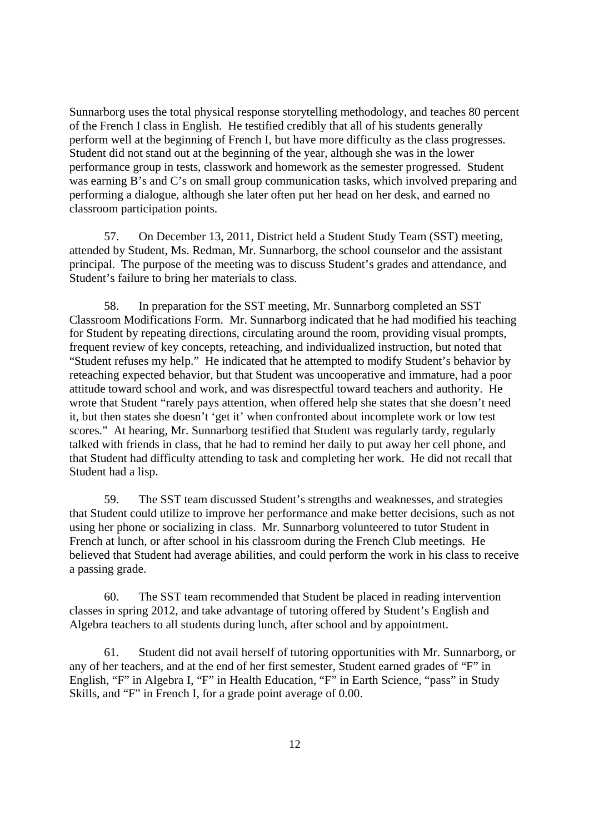Sunnarborg uses the total physical response storytelling methodology, and teaches 80 percent of the French I class in English. He testified credibly that all of his students generally perform well at the beginning of French I, but have more difficulty as the class progresses. Student did not stand out at the beginning of the year, although she was in the lower performance group in tests, classwork and homework as the semester progressed. Student was earning B's and C's on small group communication tasks, which involved preparing and performing a dialogue, although she later often put her head on her desk, and earned no classroom participation points.

57. On December 13, 2011, District held a Student Study Team (SST) meeting, attended by Student, Ms. Redman, Mr. Sunnarborg, the school counselor and the assistant principal. The purpose of the meeting was to discuss Student's grades and attendance, and Student's failure to bring her materials to class.

58. In preparation for the SST meeting, Mr. Sunnarborg completed an SST Classroom Modifications Form. Mr. Sunnarborg indicated that he had modified his teaching for Student by repeating directions, circulating around the room, providing visual prompts, frequent review of key concepts, reteaching, and individualized instruction, but noted that "Student refuses my help." He indicated that he attempted to modify Student's behavior by reteaching expected behavior, but that Student was uncooperative and immature, had a poor attitude toward school and work, and was disrespectful toward teachers and authority. He wrote that Student "rarely pays attention, when offered help she states that she doesn't need it, but then states she doesn't 'get it' when confronted about incomplete work or low test scores." At hearing, Mr. Sunnarborg testified that Student was regularly tardy, regularly talked with friends in class, that he had to remind her daily to put away her cell phone, and that Student had difficulty attending to task and completing her work. He did not recall that Student had a lisp.

59. The SST team discussed Student's strengths and weaknesses, and strategies that Student could utilize to improve her performance and make better decisions, such as not using her phone or socializing in class. Mr. Sunnarborg volunteered to tutor Student in French at lunch, or after school in his classroom during the French Club meetings. He believed that Student had average abilities, and could perform the work in his class to receive a passing grade.

60. The SST team recommended that Student be placed in reading intervention classes in spring 2012, and take advantage of tutoring offered by Student's English and Algebra teachers to all students during lunch, after school and by appointment.

61. Student did not avail herself of tutoring opportunities with Mr. Sunnarborg, or any of her teachers, and at the end of her first semester, Student earned grades of "F" in English, "F" in Algebra I, "F" in Health Education, "F" in Earth Science, "pass" in Study Skills, and "F" in French I, for a grade point average of 0.00.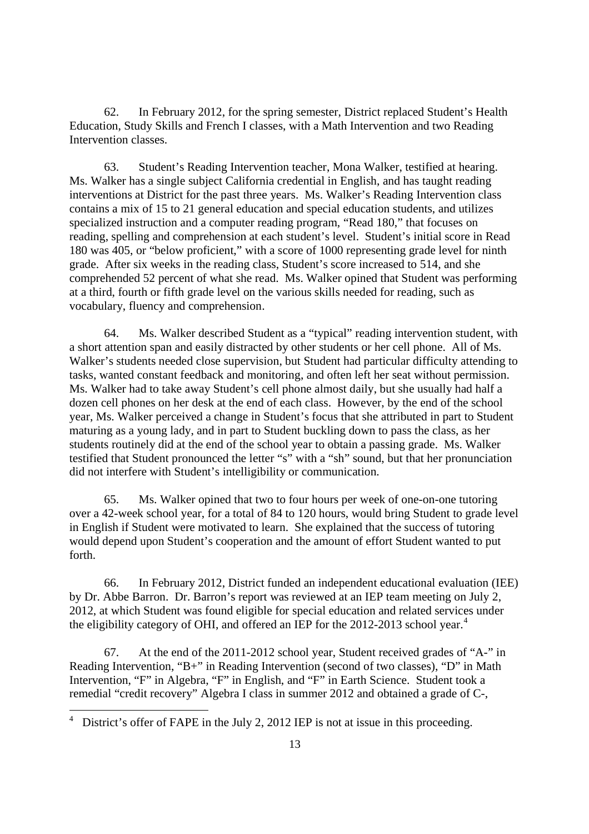62. In February 2012, for the spring semester, District replaced Student's Health Education, Study Skills and French I classes, with a Math Intervention and two Reading Intervention classes.

63. Student's Reading Intervention teacher, Mona Walker, testified at hearing. Ms. Walker has a single subject California credential in English, and has taught reading interventions at District for the past three years. Ms. Walker's Reading Intervention class contains a mix of 15 to 21 general education and special education students, and utilizes specialized instruction and a computer reading program, "Read 180," that focuses on reading, spelling and comprehension at each student's level. Student's initial score in Read 180 was 405, or "below proficient," with a score of 1000 representing grade level for ninth grade. After six weeks in the reading class, Student's score increased to 514, and she comprehended 52 percent of what she read. Ms. Walker opined that Student was performing at a third, fourth or fifth grade level on the various skills needed for reading, such as vocabulary, fluency and comprehension.

64. Ms. Walker described Student as a "typical" reading intervention student, with a short attention span and easily distracted by other students or her cell phone. All of Ms. Walker's students needed close supervision, but Student had particular difficulty attending to tasks, wanted constant feedback and monitoring, and often left her seat without permission. Ms. Walker had to take away Student's cell phone almost daily, but she usually had half a dozen cell phones on her desk at the end of each class. However, by the end of the school year, Ms. Walker perceived a change in Student's focus that she attributed in part to Student maturing as a young lady, and in part to Student buckling down to pass the class, as her students routinely did at the end of the school year to obtain a passing grade. Ms. Walker testified that Student pronounced the letter "s" with a "sh" sound, but that her pronunciation did not interfere with Student's intelligibility or communication.

65. Ms. Walker opined that two to four hours per week of one-on-one tutoring over a 42-week school year, for a total of 84 to 120 hours, would bring Student to grade level in English if Student were motivated to learn. She explained that the success of tutoring would depend upon Student's cooperation and the amount of effort Student wanted to put forth.

66. In February 2012, District funded an independent educational evaluation (IEE) by Dr. Abbe Barron. Dr. Barron's report was reviewed at an IEP team meeting on July 2, 2012, at which Student was found eligible for special education and related services under the eligibility category of OHI, and offered an IEP for the 2012-2013 school year.<sup>4</sup>

67. At the end of the 2011-2012 school year, Student received grades of "A-" in Reading Intervention, "B+" in Reading Intervention (second of two classes), "D" in Math Intervention, "F" in Algebra, "F" in English, and "F" in Earth Science. Student took a remedial "credit recovery" Algebra I class in summer 2012 and obtained a grade of C-,

 $4$  District's offer of FAPE in the July 2, 2012 IEP is not at issue in this proceeding.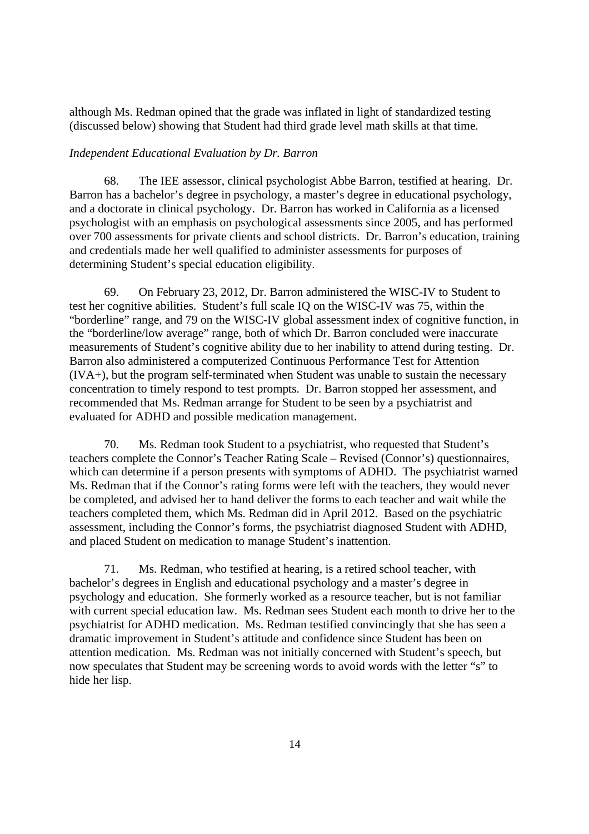although Ms. Redman opined that the grade was inflated in light of standardized testing (discussed below) showing that Student had third grade level math skills at that time.

### *Independent Educational Evaluation by Dr. Barron*

68. The IEE assessor, clinical psychologist Abbe Barron, testified at hearing. Dr. Barron has a bachelor's degree in psychology, a master's degree in educational psychology, and a doctorate in clinical psychology. Dr. Barron has worked in California as a licensed psychologist with an emphasis on psychological assessments since 2005, and has performed over 700 assessments for private clients and school districts. Dr. Barron's education, training and credentials made her well qualified to administer assessments for purposes of determining Student's special education eligibility.

69. On February 23, 2012, Dr. Barron administered the WISC-IV to Student to test her cognitive abilities. Student's full scale IQ on the WISC-IV was 75, within the "borderline" range, and 79 on the WISC-IV global assessment index of cognitive function, in the "borderline/low average" range, both of which Dr. Barron concluded were inaccurate measurements of Student's cognitive ability due to her inability to attend during testing. Dr. Barron also administered a computerized Continuous Performance Test for Attention (IVA+), but the program self-terminated when Student was unable to sustain the necessary concentration to timely respond to test prompts. Dr. Barron stopped her assessment, and recommended that Ms. Redman arrange for Student to be seen by a psychiatrist and evaluated for ADHD and possible medication management.

70. Ms. Redman took Student to a psychiatrist, who requested that Student's teachers complete the Connor's Teacher Rating Scale – Revised (Connor's) questionnaires, which can determine if a person presents with symptoms of ADHD. The psychiatrist warned Ms. Redman that if the Connor's rating forms were left with the teachers, they would never be completed, and advised her to hand deliver the forms to each teacher and wait while the teachers completed them, which Ms. Redman did in April 2012. Based on the psychiatric assessment, including the Connor's forms, the psychiatrist diagnosed Student with ADHD, and placed Student on medication to manage Student's inattention.

71. Ms. Redman, who testified at hearing, is a retired school teacher, with bachelor's degrees in English and educational psychology and a master's degree in psychology and education. She formerly worked as a resource teacher, but is not familiar with current special education law. Ms. Redman sees Student each month to drive her to the psychiatrist for ADHD medication. Ms. Redman testified convincingly that she has seen a dramatic improvement in Student's attitude and confidence since Student has been on attention medication. Ms. Redman was not initially concerned with Student's speech, but now speculates that Student may be screening words to avoid words with the letter "s" to hide her lisp.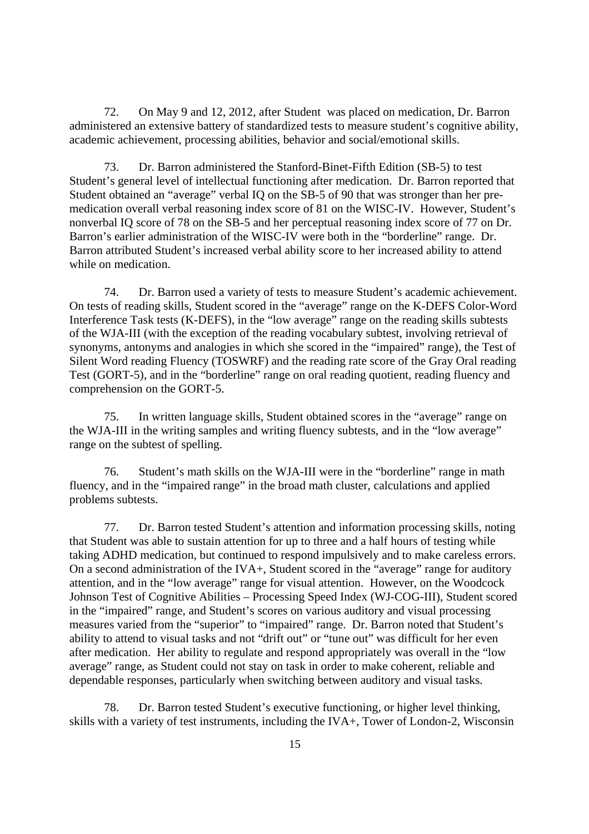72. On May 9 and 12, 2012, after Student was placed on medication, Dr. Barron administered an extensive battery of standardized tests to measure student's cognitive ability, academic achievement, processing abilities, behavior and social/emotional skills.

73. Dr. Barron administered the Stanford-Binet-Fifth Edition (SB-5) to test Student's general level of intellectual functioning after medication. Dr. Barron reported that Student obtained an "average" verbal IQ on the SB-5 of 90 that was stronger than her premedication overall verbal reasoning index score of 81 on the WISC-IV. However, Student's nonverbal IQ score of 78 on the SB-5 and her perceptual reasoning index score of 77 on Dr. Barron's earlier administration of the WISC-IV were both in the "borderline" range. Dr. Barron attributed Student's increased verbal ability score to her increased ability to attend while on medication.

74. Dr. Barron used a variety of tests to measure Student's academic achievement. On tests of reading skills, Student scored in the "average" range on the K-DEFS Color-Word Interference Task tests (K-DEFS), in the "low average" range on the reading skills subtests of the WJA-III (with the exception of the reading vocabulary subtest, involving retrieval of synonyms, antonyms and analogies in which she scored in the "impaired" range), the Test of Silent Word reading Fluency (TOSWRF) and the reading rate score of the Gray Oral reading Test (GORT-5), and in the "borderline" range on oral reading quotient, reading fluency and comprehension on the GORT-5.

75. In written language skills, Student obtained scores in the "average" range on the WJA-III in the writing samples and writing fluency subtests, and in the "low average" range on the subtest of spelling.

76. Student's math skills on the WJA-III were in the "borderline" range in math fluency, and in the "impaired range" in the broad math cluster, calculations and applied problems subtests.

77. Dr. Barron tested Student's attention and information processing skills, noting that Student was able to sustain attention for up to three and a half hours of testing while taking ADHD medication, but continued to respond impulsively and to make careless errors. On a second administration of the IVA+, Student scored in the "average" range for auditory attention, and in the "low average" range for visual attention. However, on the Woodcock Johnson Test of Cognitive Abilities – Processing Speed Index (WJ-COG-III), Student scored in the "impaired" range, and Student's scores on various auditory and visual processing measures varied from the "superior" to "impaired" range. Dr. Barron noted that Student's ability to attend to visual tasks and not "drift out" or "tune out" was difficult for her even after medication. Her ability to regulate and respond appropriately was overall in the "low average" range, as Student could not stay on task in order to make coherent, reliable and dependable responses, particularly when switching between auditory and visual tasks.

78. Dr. Barron tested Student's executive functioning, or higher level thinking, skills with a variety of test instruments, including the IVA+, Tower of London-2, Wisconsin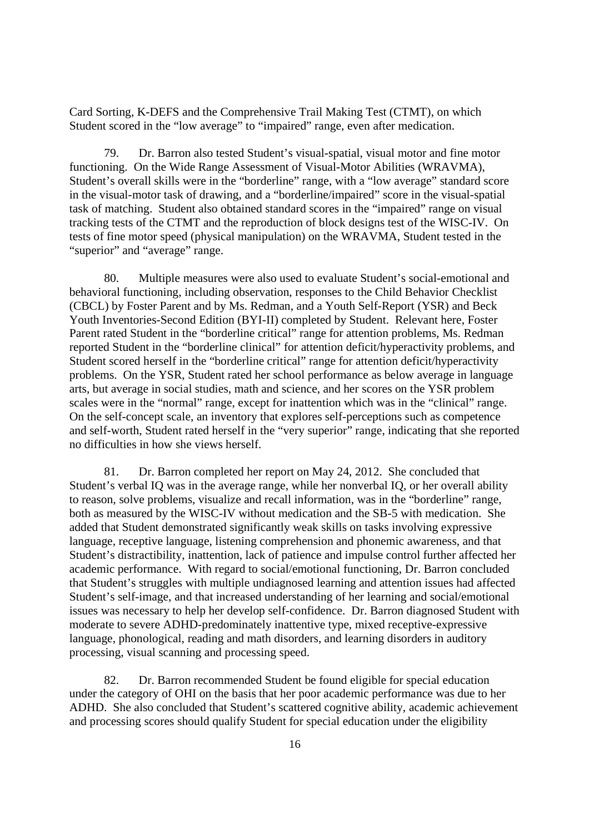Card Sorting, K-DEFS and the Comprehensive Trail Making Test (CTMT), on which Student scored in the "low average" to "impaired" range, even after medication.

79. Dr. Barron also tested Student's visual-spatial, visual motor and fine motor functioning. On the Wide Range Assessment of Visual-Motor Abilities (WRAVMA), Student's overall skills were in the "borderline" range, with a "low average" standard score in the visual-motor task of drawing, and a "borderline/impaired" score in the visual-spatial task of matching. Student also obtained standard scores in the "impaired" range on visual tracking tests of the CTMT and the reproduction of block designs test of the WISC-IV. On tests of fine motor speed (physical manipulation) on the WRAVMA, Student tested in the "superior" and "average" range.

80. Multiple measures were also used to evaluate Student's social-emotional and behavioral functioning, including observation, responses to the Child Behavior Checklist (CBCL) by Foster Parent and by Ms. Redman, and a Youth Self-Report (YSR) and Beck Youth Inventories-Second Edition (BYI-II) completed by Student. Relevant here, Foster Parent rated Student in the "borderline critical" range for attention problems, Ms. Redman reported Student in the "borderline clinical" for attention deficit/hyperactivity problems, and Student scored herself in the "borderline critical" range for attention deficit/hyperactivity problems. On the YSR, Student rated her school performance as below average in language arts, but average in social studies, math and science, and her scores on the YSR problem scales were in the "normal" range, except for inattention which was in the "clinical" range. On the self-concept scale, an inventory that explores self-perceptions such as competence and self-worth, Student rated herself in the "very superior" range, indicating that she reported no difficulties in how she views herself.

81. Dr. Barron completed her report on May 24, 2012. She concluded that Student's verbal IQ was in the average range, while her nonverbal IQ, or her overall ability to reason, solve problems, visualize and recall information, was in the "borderline" range, both as measured by the WISC-IV without medication and the SB-5 with medication. She added that Student demonstrated significantly weak skills on tasks involving expressive language, receptive language, listening comprehension and phonemic awareness, and that Student's distractibility, inattention, lack of patience and impulse control further affected her academic performance. With regard to social/emotional functioning, Dr. Barron concluded that Student's struggles with multiple undiagnosed learning and attention issues had affected Student's self-image, and that increased understanding of her learning and social/emotional issues was necessary to help her develop self-confidence. Dr. Barron diagnosed Student with moderate to severe ADHD-predominately inattentive type, mixed receptive-expressive language, phonological, reading and math disorders, and learning disorders in auditory processing, visual scanning and processing speed.

82. Dr. Barron recommended Student be found eligible for special education under the category of OHI on the basis that her poor academic performance was due to her ADHD. She also concluded that Student's scattered cognitive ability, academic achievement and processing scores should qualify Student for special education under the eligibility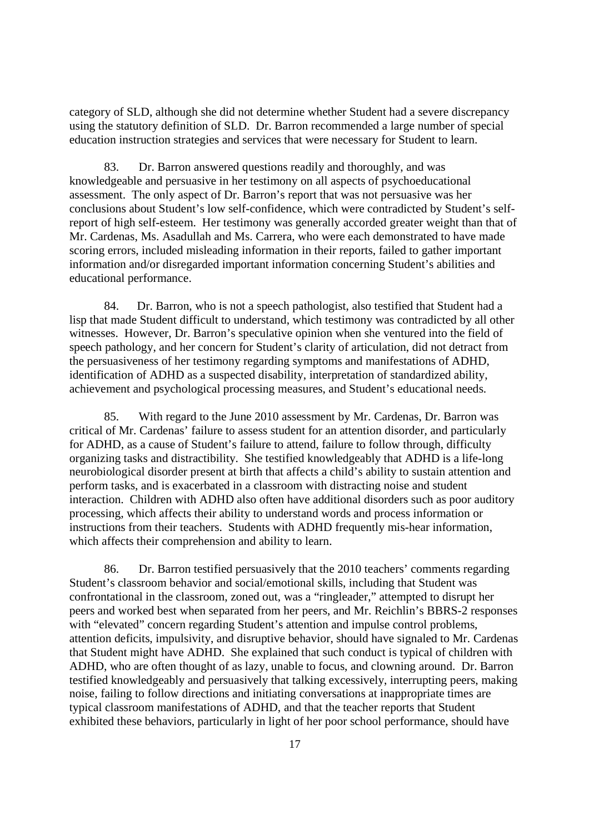category of SLD, although she did not determine whether Student had a severe discrepancy using the statutory definition of SLD. Dr. Barron recommended a large number of special education instruction strategies and services that were necessary for Student to learn.

83. Dr. Barron answered questions readily and thoroughly, and was knowledgeable and persuasive in her testimony on all aspects of psychoeducational assessment. The only aspect of Dr. Barron's report that was not persuasive was her conclusions about Student's low self-confidence, which were contradicted by Student's selfreport of high self-esteem. Her testimony was generally accorded greater weight than that of Mr. Cardenas, Ms. Asadullah and Ms. Carrera, who were each demonstrated to have made scoring errors, included misleading information in their reports, failed to gather important information and/or disregarded important information concerning Student's abilities and educational performance.

84. Dr. Barron, who is not a speech pathologist, also testified that Student had a lisp that made Student difficult to understand, which testimony was contradicted by all other witnesses. However, Dr. Barron's speculative opinion when she ventured into the field of speech pathology, and her concern for Student's clarity of articulation, did not detract from the persuasiveness of her testimony regarding symptoms and manifestations of ADHD, identification of ADHD as a suspected disability, interpretation of standardized ability, achievement and psychological processing measures, and Student's educational needs.

85. With regard to the June 2010 assessment by Mr. Cardenas, Dr. Barron was critical of Mr. Cardenas' failure to assess student for an attention disorder, and particularly for ADHD, as a cause of Student's failure to attend, failure to follow through, difficulty organizing tasks and distractibility. She testified knowledgeably that ADHD is a life-long neurobiological disorder present at birth that affects a child's ability to sustain attention and perform tasks, and is exacerbated in a classroom with distracting noise and student interaction. Children with ADHD also often have additional disorders such as poor auditory processing, which affects their ability to understand words and process information or instructions from their teachers. Students with ADHD frequently mis-hear information, which affects their comprehension and ability to learn.

86. Dr. Barron testified persuasively that the 2010 teachers' comments regarding Student's classroom behavior and social/emotional skills, including that Student was confrontational in the classroom, zoned out, was a "ringleader," attempted to disrupt her peers and worked best when separated from her peers, and Mr. Reichlin's BBRS-2 responses with "elevated" concern regarding Student's attention and impulse control problems, attention deficits, impulsivity, and disruptive behavior, should have signaled to Mr. Cardenas that Student might have ADHD. She explained that such conduct is typical of children with ADHD, who are often thought of as lazy, unable to focus, and clowning around. Dr. Barron testified knowledgeably and persuasively that talking excessively, interrupting peers, making noise, failing to follow directions and initiating conversations at inappropriate times are typical classroom manifestations of ADHD, and that the teacher reports that Student exhibited these behaviors, particularly in light of her poor school performance, should have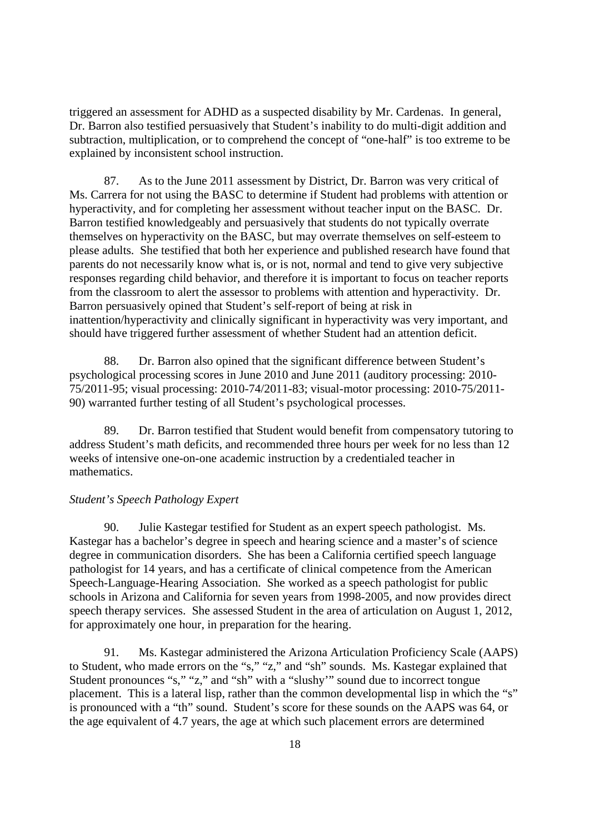triggered an assessment for ADHD as a suspected disability by Mr. Cardenas. In general, Dr. Barron also testified persuasively that Student's inability to do multi-digit addition and subtraction, multiplication, or to comprehend the concept of "one-half" is too extreme to be explained by inconsistent school instruction.

87. As to the June 2011 assessment by District, Dr. Barron was very critical of Ms. Carrera for not using the BASC to determine if Student had problems with attention or hyperactivity, and for completing her assessment without teacher input on the BASC. Dr. Barron testified knowledgeably and persuasively that students do not typically overrate themselves on hyperactivity on the BASC, but may overrate themselves on self-esteem to please adults. She testified that both her experience and published research have found that parents do not necessarily know what is, or is not, normal and tend to give very subjective responses regarding child behavior, and therefore it is important to focus on teacher reports from the classroom to alert the assessor to problems with attention and hyperactivity. Dr. Barron persuasively opined that Student's self-report of being at risk in inattention/hyperactivity and clinically significant in hyperactivity was very important, and should have triggered further assessment of whether Student had an attention deficit.

88. Dr. Barron also opined that the significant difference between Student's psychological processing scores in June 2010 and June 2011 (auditory processing: 2010- 75/2011-95; visual processing: 2010-74/2011-83; visual-motor processing: 2010-75/2011- 90) warranted further testing of all Student's psychological processes.

89. Dr. Barron testified that Student would benefit from compensatory tutoring to address Student's math deficits, and recommended three hours per week for no less than 12 weeks of intensive one-on-one academic instruction by a credentialed teacher in mathematics.

#### *Student's Speech Pathology Expert*

90. Julie Kastegar testified for Student as an expert speech pathologist. Ms. Kastegar has a bachelor's degree in speech and hearing science and a master's of science degree in communication disorders. She has been a California certified speech language pathologist for 14 years, and has a certificate of clinical competence from the American Speech-Language-Hearing Association. She worked as a speech pathologist for public schools in Arizona and California for seven years from 1998-2005, and now provides direct speech therapy services. She assessed Student in the area of articulation on August 1, 2012, for approximately one hour, in preparation for the hearing.

91. Ms. Kastegar administered the Arizona Articulation Proficiency Scale (AAPS) to Student, who made errors on the "s," "z," and "sh" sounds. Ms. Kastegar explained that Student pronounces "s," "z," and "sh" with a "slushy'" sound due to incorrect tongue placement. This is a lateral lisp, rather than the common developmental lisp in which the "s" is pronounced with a "th" sound. Student's score for these sounds on the AAPS was 64, or the age equivalent of 4.7 years, the age at which such placement errors are determined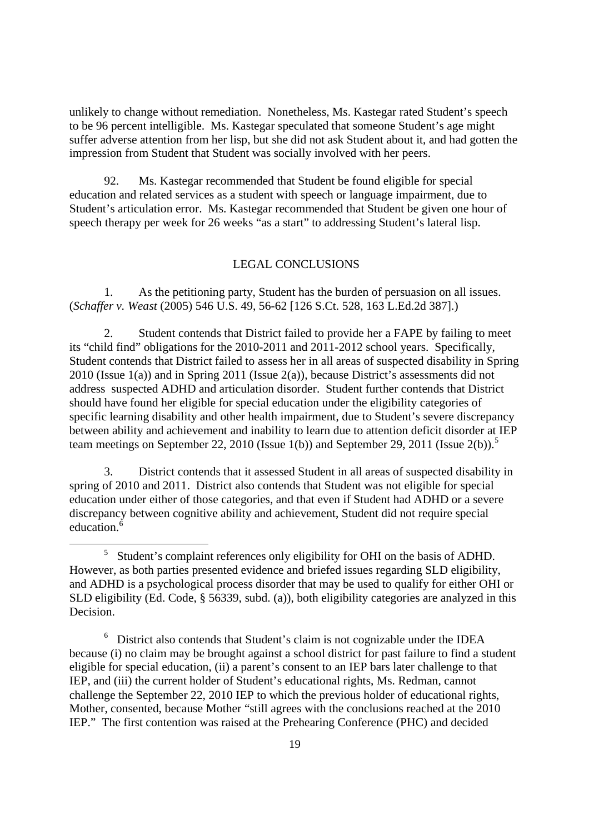unlikely to change without remediation. Nonetheless, Ms. Kastegar rated Student's speech to be 96 percent intelligible. Ms. Kastegar speculated that someone Student's age might suffer adverse attention from her lisp, but she did not ask Student about it, and had gotten the impression from Student that Student was socially involved with her peers.

92. Ms. Kastegar recommended that Student be found eligible for special education and related services as a student with speech or language impairment, due to Student's articulation error. Ms. Kastegar recommended that Student be given one hour of speech therapy per week for 26 weeks "as a start" to addressing Student's lateral lisp.

### LEGAL CONCLUSIONS

1. As the petitioning party, Student has the burden of persuasion on all issues. (*Schaffer v. Weast* (2005) 546 U.S. 49, 56-62 [126 S.Ct. 528, 163 L.Ed.2d 387].)

2. Student contends that District failed to provide her a FAPE by failing to meet its "child find" obligations for the 2010-2011 and 2011-2012 school years. Specifically, Student contends that District failed to assess her in all areas of suspected disability in Spring 2010 (Issue  $1(a)$ ) and in Spring 2011 (Issue  $2(a)$ ), because District's assessments did not address suspected ADHD and articulation disorder. Student further contends that District should have found her eligible for special education under the eligibility categories of specific learning disability and other health impairment, due to Student's severe discrepancy between ability and achievement and inability to learn due to attention deficit disorder at IEP team meetings on September 22, 2010 (Issue 1(b)) and September 29, 2011 (Issue 2(b)).<sup>5</sup>

3. District contends that it assessed Student in all areas of suspected disability in spring of 2010 and 2011. District also contends that Student was not eligible for special education under either of those categories, and that even if Student had ADHD or a severe discrepancy between cognitive ability and achievement, Student did not require special education. $\frac{6}{6}$ 

<sup>5</sup> Student's complaint references only eligibility for OHI on the basis of ADHD. However, as both parties presented evidence and briefed issues regarding SLD eligibility, and ADHD is a psychological process disorder that may be used to qualify for either OHI or SLD eligibility (Ed. Code, § 56339, subd. (a)), both eligibility categories are analyzed in this Decision.

<sup>6</sup> District also contends that Student's claim is not cognizable under the IDEA because (i) no claim may be brought against a school district for past failure to find a student eligible for special education, (ii) a parent's consent to an IEP bars later challenge to that IEP, and (iii) the current holder of Student's educational rights, Ms. Redman, cannot challenge the September 22, 2010 IEP to which the previous holder of educational rights, Mother, consented, because Mother "still agrees with the conclusions reached at the 2010 IEP." The first contention was raised at the Prehearing Conference (PHC) and decided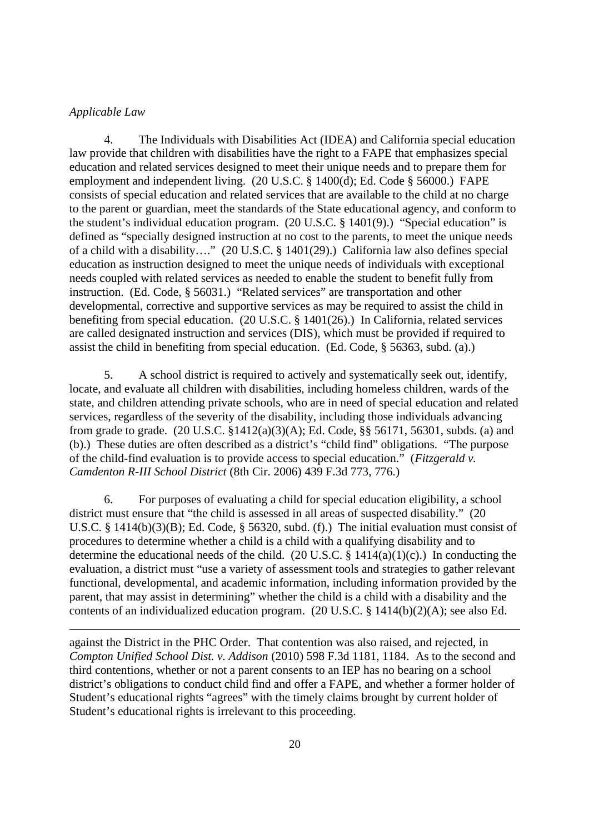#### *Applicable Law*

4. The Individuals with Disabilities Act (IDEA) and California special education law provide that children with disabilities have the right to a FAPE that emphasizes special education and related services designed to meet their unique needs and to prepare them for employment and independent living. (20 U.S.C. § 1400(d); Ed. Code § 56000.) FAPE consists of special education and related services that are available to the child at no charge to the parent or guardian, meet the standards of the State educational agency, and conform to the student's individual education program. (20 U.S.C. § 1401(9).) "Special education" is defined as "specially designed instruction at no cost to the parents, to meet the unique needs of a child with a disability…." (20 U.S.C. § 1401(29).) California law also defines special education as instruction designed to meet the unique needs of individuals with exceptional needs coupled with related services as needed to enable the student to benefit fully from instruction. (Ed. Code, § 56031.) "Related services" are transportation and other developmental, corrective and supportive services as may be required to assist the child in benefiting from special education. (20 U.S.C. § 1401(26).) In California, related services are called designated instruction and services (DIS), which must be provided if required to assist the child in benefiting from special education. (Ed. Code, § 56363, subd. (a).)

5. A school district is required to actively and systematically seek out, identify, locate, and evaluate all children with disabilities, including homeless children, wards of the state, and children attending private schools, who are in need of special education and related services, regardless of the severity of the disability, including those individuals advancing from grade to grade. (20 U.S.C. §1412(a)(3)(A); Ed. Code, §§ 56171, 56301, subds. (a) and (b).) These duties are often described as a district's "child find" obligations. "The purpose of the child-find evaluation is to provide access to special education." (*Fitzgerald v. Camdenton R-III School District* (8th Cir. 2006) 439 F.3d 773, 776.)

6. For purposes of evaluating a child for special education eligibility, a school district must ensure that "the child is assessed in all areas of suspected disability." (20) U.S.C. § 1414(b)(3)(B); Ed. Code, § 56320, subd. (f).) The initial evaluation must consist of procedures to determine whether a child is a child with a qualifying disability and to determine the educational needs of the child. (20 U.S.C. § 1414(a)(1)(c).) In conducting the evaluation, a district must "use a variety of assessment tools and strategies to gather relevant functional, developmental, and academic information, including information provided by the parent, that may assist in determining" whether the child is a child with a disability and the contents of an individualized education program. (20 U.S.C. § 1414(b)(2)(A); see also Ed.

against the District in the PHC Order. That contention was also raised, and rejected, in *Compton Unified School Dist. v. Addison* (2010) 598 F.3d 1181, 1184. As to the second and third contentions, whether or not a parent consents to an IEP has no bearing on a school district's obligations to conduct child find and offer a FAPE, and whether a former holder of Student's educational rights "agrees" with the timely claims brought by current holder of Student's educational rights is irrelevant to this proceeding.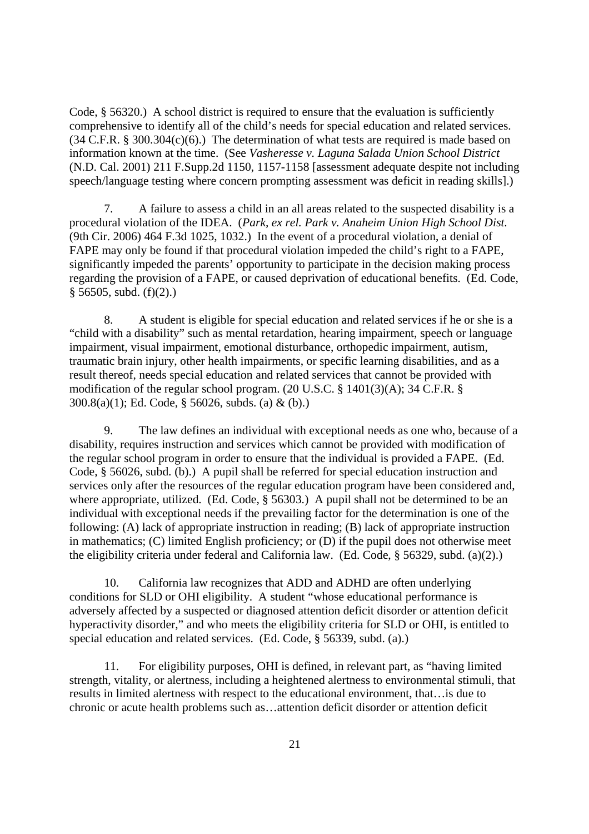Code, § 56320.) A school district is required to ensure that the evaluation is sufficiently comprehensive to identify all of the child's needs for special education and related services. (34 C.F.R. § 300.304(c)(6).) The determination of what tests are required is made based on information known at the time. (See *Vasheresse v. Laguna Salada Union School District* (N.D. Cal. 2001) 211 F.Supp.2d 1150, 1157-1158 [assessment adequate despite not including speech/language testing where concern prompting assessment was deficit in reading skills].)

7. A failure to assess a child in an all areas related to the suspected disability is a procedural violation of the IDEA. (*Park, ex rel. Park v. Anaheim Union High School Dist.* (9th Cir. 2006) 464 F.3d 1025, 1032.) In the event of a procedural violation, a denial of FAPE may only be found if that procedural violation impeded the child's right to a FAPE, significantly impeded the parents' opportunity to participate in the decision making process regarding the provision of a FAPE, or caused deprivation of educational benefits. (Ed. Code,  $§$  56505, subd. (f)(2).)

8. A student is eligible for special education and related services if he or she is a "child with a disability" such as mental retardation, hearing impairment, speech or language impairment, visual impairment, emotional disturbance, orthopedic impairment, autism, traumatic brain injury, other health impairments, or specific learning disabilities, and as a result thereof, needs special education and related services that cannot be provided with modification of the regular school program. (20 U.S.C. § 1401(3)(A); 34 C.F.R. § 300.8(a)(1); Ed. Code, § 56026, subds. (a) & (b).)

9. The law defines an individual with exceptional needs as one who, because of a disability, requires instruction and services which cannot be provided with modification of the regular school program in order to ensure that the individual is provided a FAPE. (Ed. Code, § 56026, subd. (b).) A pupil shall be referred for special education instruction and services only after the resources of the regular education program have been considered and, where appropriate, utilized. (Ed. Code, § 56303.) A pupil shall not be determined to be an individual with exceptional needs if the prevailing factor for the determination is one of the following: (A) lack of appropriate instruction in reading; (B) lack of appropriate instruction in mathematics; (C) limited English proficiency; or (D) if the pupil does not otherwise meet the eligibility criteria under federal and California law. (Ed. Code, § 56329, subd. (a)(2).)

10. California law recognizes that ADD and ADHD are often underlying conditions for SLD or OHI eligibility. A student "whose educational performance is adversely affected by a suspected or diagnosed attention deficit disorder or attention deficit hyperactivity disorder," and who meets the eligibility criteria for SLD or OHI, is entitled to special education and related services. (Ed. Code, § 56339, subd. (a).)

11. For eligibility purposes, OHI is defined, in relevant part, as "having limited strength, vitality, or alertness, including a heightened alertness to environmental stimuli, that results in limited alertness with respect to the educational environment, that…is due to chronic or acute health problems such as…attention deficit disorder or attention deficit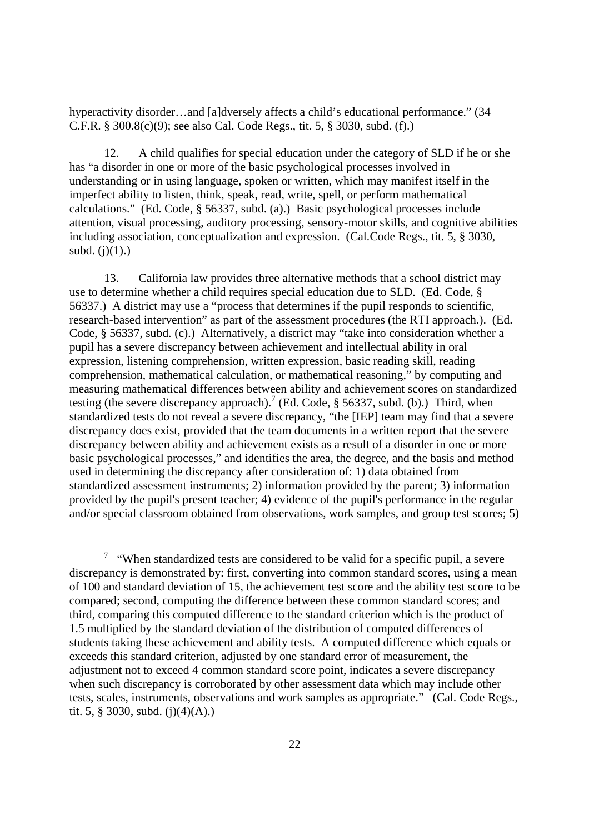hyperactivity disorder…and [a]dversely affects a child's educational performance." (34 C.F.R. § 300.8(c)(9); see also Cal. Code Regs., tit. 5, § 3030, subd. (f).)

12. A child qualifies for special education under the category of SLD if he or she has "a disorder in one or more of the basic psychological processes involved in understanding or in using language, spoken or written, which may manifest itself in the imperfect ability to listen, think, speak, read, write, spell, or perform mathematical calculations." (Ed. Code, § 56337, subd. (a).) Basic psychological processes include attention, visual processing, auditory processing, sensory-motor skills, and cognitive abilities including association, conceptualization and expression. (Cal.Code Regs., tit. 5, § 3030, subd.  $(j)(1)$ .)

13. California law provides three alternative methods that a school district may use to determine whether a child requires special education due to SLD. (Ed. Code, § 56337.) A district may use a "process that determines if the pupil responds to scientific, research-based intervention" as part of the assessment procedures (the RTI approach.). (Ed. Code, § 56337, subd. (c).) Alternatively, a district may "take into consideration whether a pupil has a severe discrepancy between achievement and intellectual ability in oral expression, listening comprehension, written expression, basic reading skill, reading comprehension, mathematical calculation, or mathematical reasoning," by computing and measuring mathematical differences between ability and achievement scores on standardized testing (the severe discrepancy approach).<sup>7</sup> (Ed. Code, § 56337, subd. (b).) Third, when standardized tests do not reveal a severe discrepancy, "the [IEP] team may find that a severe discrepancy does exist, provided that the team documents in a written report that the severe discrepancy between ability and achievement exists as a result of a disorder in one or more basic psychological processes," and identifies the area, the degree, and the basis and method used in determining the discrepancy after consideration of: 1) data obtained from standardized assessment instruments; 2) information provided by the parent; 3) information provided by the pupil's present teacher; 4) evidence of the pupil's performance in the regular and/or special classroom obtained from observations, work samples, and group test scores; 5)

<sup>&</sup>lt;sup>7</sup> "When standardized tests are considered to be valid for a specific pupil, a severe discrepancy is demonstrated by: first, converting into common standard scores, using a mean of 100 and standard deviation of 15, the achievement test score and the ability test score to be compared; second, computing the difference between these common standard scores; and third, comparing this computed difference to the standard criterion which is the product of 1.5 multiplied by the standard deviation of the distribution of computed differences of students taking these achievement and ability tests. A computed difference which equals or exceeds this standard criterion, adjusted by one standard error of measurement, the adjustment not to exceed 4 common standard score point, indicates a severe discrepancy when such discrepancy is corroborated by other assessment data which may include other tests, scales, instruments, observations and work samples as appropriate." (Cal. Code Regs., tit. 5,  $\frac{8}{3030}$ , subd. (i)(4)(A).)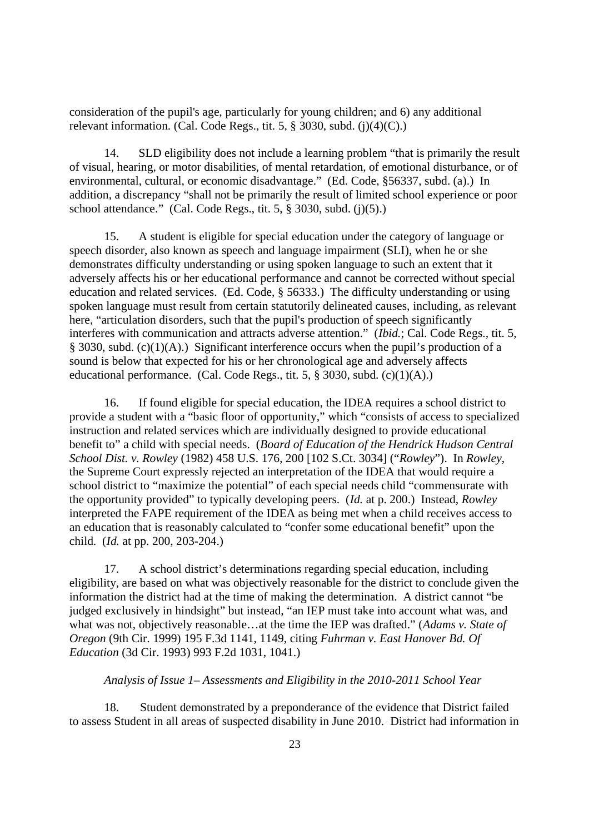consideration of the pupil's age, particularly for young children; and 6) any additional relevant information. (Cal. Code Regs., tit. 5,  $\S$  3030, subd. (j)(4)(C).)

14. SLD eligibility does not include a learning problem "that is primarily the result of visual, hearing, or motor disabilities, of mental retardation, of emotional disturbance, or of environmental, cultural, or economic disadvantage." (Ed. Code, §56337, subd. (a).) In addition, a discrepancy "shall not be primarily the result of limited school experience or poor school attendance." (Cal. Code Regs., tit. 5, § 3030, subd. (j)(5).)

15. A student is eligible for special education under the category of language or speech disorder, also known as speech and language impairment (SLI), when he or she demonstrates difficulty understanding or using spoken language to such an extent that it adversely affects his or her educational performance and cannot be corrected without special education and related services. (Ed. Code, § 56333.) The difficulty understanding or using spoken language must result from certain statutorily delineated causes, including, as relevant here, "articulation disorders, such that the pupil's production of speech significantly interferes with communication and attracts adverse attention." (*Ibid.*; Cal. Code Regs., tit. 5, § 3030, subd. (c)(1)(A).) Significant interference occurs when the pupil's production of a sound is below that expected for his or her chronological age and adversely affects educational performance. (Cal. Code Regs., tit. 5, § 3030, subd. (c)(1)(A).)

16. If found eligible for special education, the IDEA requires a school district to provide a student with a "basic floor of opportunity," which "consists of access to specialized instruction and related services which are individually designed to provide educational benefit to" a child with special needs. (*Board of Education of the Hendrick Hudson Central School Dist. v. Rowley* (1982) 458 U.S. 176, 200 [102 S.Ct. 3034] ("*Rowley*"). In *Rowley*, the Supreme Court expressly rejected an interpretation of the IDEA that would require a school district to "maximize the potential" of each special needs child "commensurate with the opportunity provided" to typically developing peers. (*Id.* at p. 200.) Instead, *Rowley* interpreted the FAPE requirement of the IDEA as being met when a child receives access to an education that is reasonably calculated to "confer some educational benefit" upon the child. (*Id.* at pp. 200, 203-204.)

17. A school district's determinations regarding special education, including eligibility, are based on what was objectively reasonable for the district to conclude given the information the district had at the time of making the determination. A district cannot "be judged exclusively in hindsight" but instead, "an IEP must take into account what was, and what was not, objectively reasonable…at the time the IEP was drafted." (*Adams v. State of Oregon* (9th Cir. 1999) 195 F.3d 1141, 1149, citing *Fuhrman v. East Hanover Bd. Of Education* (3d Cir. 1993) 993 F.2d 1031, 1041.)

### *Analysis of Issue 1– Assessments and Eligibility in the 2010-2011 School Year*

18. Student demonstrated by a preponderance of the evidence that District failed to assess Student in all areas of suspected disability in June 2010. District had information in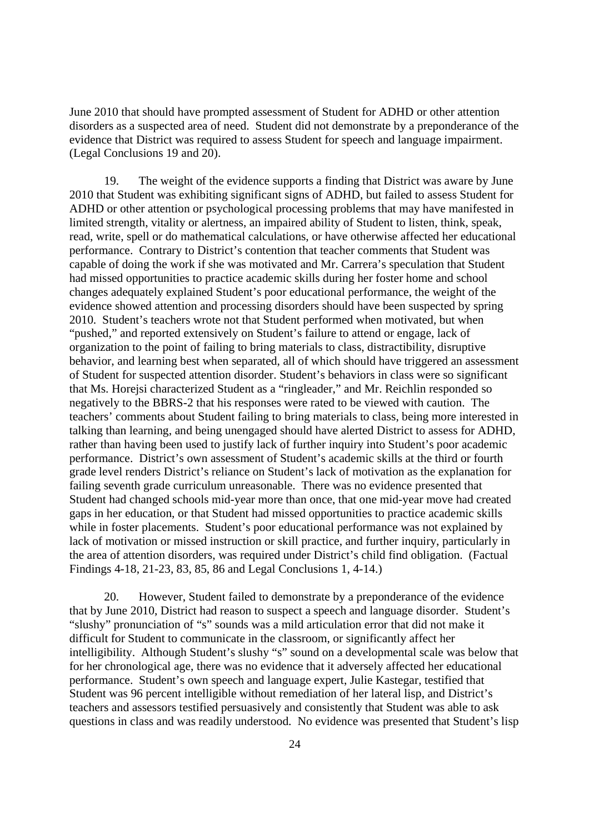June 2010 that should have prompted assessment of Student for ADHD or other attention disorders as a suspected area of need. Student did not demonstrate by a preponderance of the evidence that District was required to assess Student for speech and language impairment. (Legal Conclusions 19 and 20).

19. The weight of the evidence supports a finding that District was aware by June 2010 that Student was exhibiting significant signs of ADHD, but failed to assess Student for ADHD or other attention or psychological processing problems that may have manifested in limited strength, vitality or alertness, an impaired ability of Student to listen, think, speak, read, write, spell or do mathematical calculations, or have otherwise affected her educational performance. Contrary to District's contention that teacher comments that Student was capable of doing the work if she was motivated and Mr. Carrera's speculation that Student had missed opportunities to practice academic skills during her foster home and school changes adequately explained Student's poor educational performance, the weight of the evidence showed attention and processing disorders should have been suspected by spring 2010. Student's teachers wrote not that Student performed when motivated, but when "pushed," and reported extensively on Student's failure to attend or engage, lack of organization to the point of failing to bring materials to class, distractibility, disruptive behavior, and learning best when separated, all of which should have triggered an assessment of Student for suspected attention disorder. Student's behaviors in class were so significant that Ms. Horejsi characterized Student as a "ringleader," and Mr. Reichlin responded so negatively to the BBRS-2 that his responses were rated to be viewed with caution. The teachers' comments about Student failing to bring materials to class, being more interested in talking than learning, and being unengaged should have alerted District to assess for ADHD, rather than having been used to justify lack of further inquiry into Student's poor academic performance. District's own assessment of Student's academic skills at the third or fourth grade level renders District's reliance on Student's lack of motivation as the explanation for failing seventh grade curriculum unreasonable. There was no evidence presented that Student had changed schools mid-year more than once, that one mid-year move had created gaps in her education, or that Student had missed opportunities to practice academic skills while in foster placements. Student's poor educational performance was not explained by lack of motivation or missed instruction or skill practice, and further inquiry, particularly in the area of attention disorders, was required under District's child find obligation. (Factual Findings 4-18, 21-23, 83, 85, 86 and Legal Conclusions 1, 4-14.)

20. However, Student failed to demonstrate by a preponderance of the evidence that by June 2010, District had reason to suspect a speech and language disorder. Student's "slushy" pronunciation of "s" sounds was a mild articulation error that did not make it difficult for Student to communicate in the classroom, or significantly affect her intelligibility. Although Student's slushy "s" sound on a developmental scale was below that for her chronological age, there was no evidence that it adversely affected her educational performance. Student's own speech and language expert, Julie Kastegar, testified that Student was 96 percent intelligible without remediation of her lateral lisp, and District's teachers and assessors testified persuasively and consistently that Student was able to ask questions in class and was readily understood. No evidence was presented that Student's lisp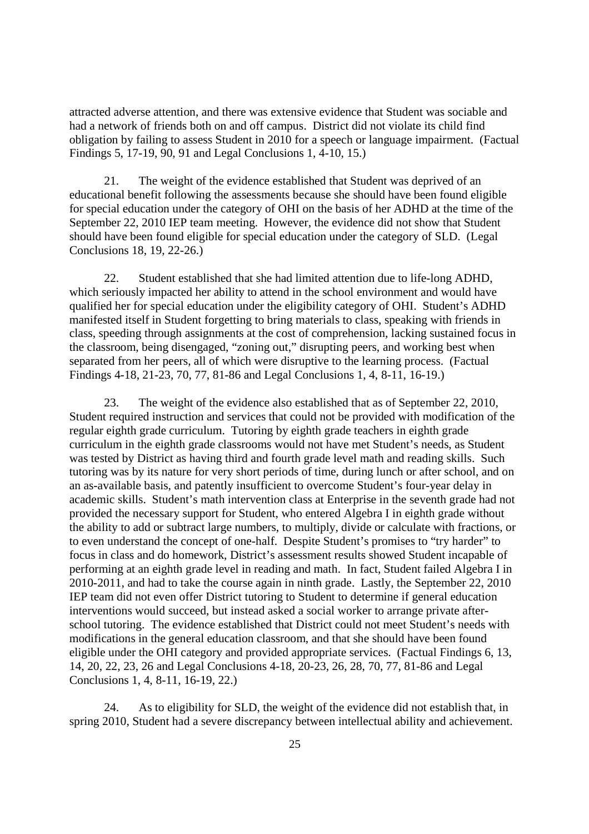attracted adverse attention, and there was extensive evidence that Student was sociable and had a network of friends both on and off campus. District did not violate its child find obligation by failing to assess Student in 2010 for a speech or language impairment. (Factual Findings 5, 17-19, 90, 91 and Legal Conclusions 1, 4-10, 15.)

21. The weight of the evidence established that Student was deprived of an educational benefit following the assessments because she should have been found eligible for special education under the category of OHI on the basis of her ADHD at the time of the September 22, 2010 IEP team meeting. However, the evidence did not show that Student should have been found eligible for special education under the category of SLD. (Legal Conclusions 18, 19, 22-26.)

22. Student established that she had limited attention due to life-long ADHD, which seriously impacted her ability to attend in the school environment and would have qualified her for special education under the eligibility category of OHI. Student's ADHD manifested itself in Student forgetting to bring materials to class, speaking with friends in class, speeding through assignments at the cost of comprehension, lacking sustained focus in the classroom, being disengaged, "zoning out," disrupting peers, and working best when separated from her peers, all of which were disruptive to the learning process. (Factual Findings 4-18, 21-23, 70, 77, 81-86 and Legal Conclusions 1, 4, 8-11, 16-19.)

23. The weight of the evidence also established that as of September 22, 2010, Student required instruction and services that could not be provided with modification of the regular eighth grade curriculum. Tutoring by eighth grade teachers in eighth grade curriculum in the eighth grade classrooms would not have met Student's needs, as Student was tested by District as having third and fourth grade level math and reading skills. Such tutoring was by its nature for very short periods of time, during lunch or after school, and on an as-available basis, and patently insufficient to overcome Student's four-year delay in academic skills. Student's math intervention class at Enterprise in the seventh grade had not provided the necessary support for Student, who entered Algebra I in eighth grade without the ability to add or subtract large numbers, to multiply, divide or calculate with fractions, or to even understand the concept of one-half. Despite Student's promises to "try harder" to focus in class and do homework, District's assessment results showed Student incapable of performing at an eighth grade level in reading and math. In fact, Student failed Algebra I in 2010-2011, and had to take the course again in ninth grade. Lastly, the September 22, 2010 IEP team did not even offer District tutoring to Student to determine if general education interventions would succeed, but instead asked a social worker to arrange private afterschool tutoring. The evidence established that District could not meet Student's needs with modifications in the general education classroom, and that she should have been found eligible under the OHI category and provided appropriate services. (Factual Findings 6, 13, 14, 20, 22, 23, 26 and Legal Conclusions 4-18, 20-23, 26, 28, 70, 77, 81-86 and Legal Conclusions 1, 4, 8-11, 16-19, 22.)

24. As to eligibility for SLD, the weight of the evidence did not establish that, in spring 2010, Student had a severe discrepancy between intellectual ability and achievement.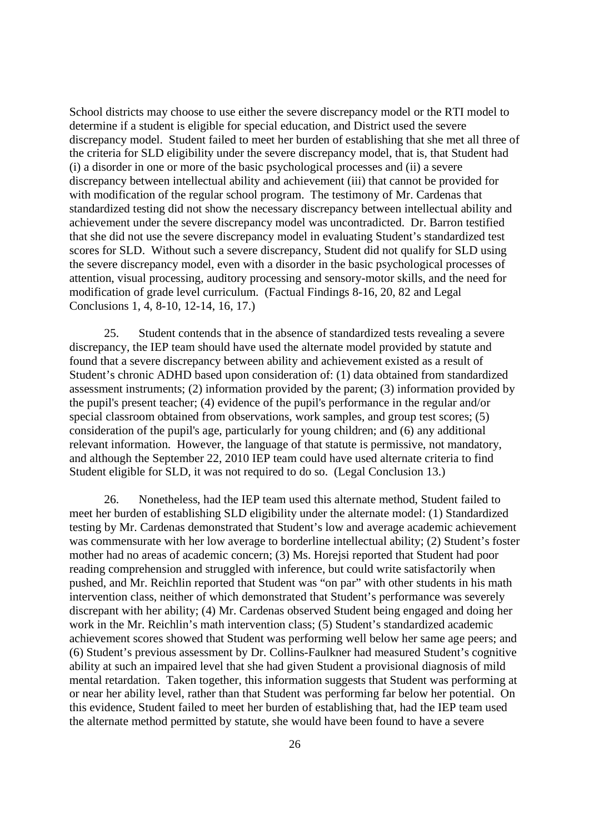School districts may choose to use either the severe discrepancy model or the RTI model to determine if a student is eligible for special education, and District used the severe discrepancy model. Student failed to meet her burden of establishing that she met all three of the criteria for SLD eligibility under the severe discrepancy model, that is, that Student had (i) a disorder in one or more of the basic psychological processes and (ii) a severe discrepancy between intellectual ability and achievement (iii) that cannot be provided for with modification of the regular school program. The testimony of Mr. Cardenas that standardized testing did not show the necessary discrepancy between intellectual ability and achievement under the severe discrepancy model was uncontradicted. Dr. Barron testified that she did not use the severe discrepancy model in evaluating Student's standardized test scores for SLD. Without such a severe discrepancy, Student did not qualify for SLD using the severe discrepancy model, even with a disorder in the basic psychological processes of attention, visual processing, auditory processing and sensory-motor skills, and the need for modification of grade level curriculum. (Factual Findings 8-16, 20, 82 and Legal Conclusions 1, 4, 8-10, 12-14, 16, 17.)

25. Student contends that in the absence of standardized tests revealing a severe discrepancy, the IEP team should have used the alternate model provided by statute and found that a severe discrepancy between ability and achievement existed as a result of Student's chronic ADHD based upon consideration of: (1) data obtained from standardized assessment instruments; (2) information provided by the parent; (3) information provided by the pupil's present teacher; (4) evidence of the pupil's performance in the regular and/or special classroom obtained from observations, work samples, and group test scores; (5) consideration of the pupil's age, particularly for young children; and (6) any additional relevant information. However, the language of that statute is permissive, not mandatory, and although the September 22, 2010 IEP team could have used alternate criteria to find Student eligible for SLD, it was not required to do so. (Legal Conclusion 13.)

26. Nonetheless, had the IEP team used this alternate method, Student failed to meet her burden of establishing SLD eligibility under the alternate model: (1) Standardized testing by Mr. Cardenas demonstrated that Student's low and average academic achievement was commensurate with her low average to borderline intellectual ability; (2) Student's foster mother had no areas of academic concern; (3) Ms. Horejsi reported that Student had poor reading comprehension and struggled with inference, but could write satisfactorily when pushed, and Mr. Reichlin reported that Student was "on par" with other students in his math intervention class, neither of which demonstrated that Student's performance was severely discrepant with her ability; (4) Mr. Cardenas observed Student being engaged and doing her work in the Mr. Reichlin's math intervention class; (5) Student's standardized academic achievement scores showed that Student was performing well below her same age peers; and (6) Student's previous assessment by Dr. Collins-Faulkner had measured Student's cognitive ability at such an impaired level that she had given Student a provisional diagnosis of mild mental retardation. Taken together, this information suggests that Student was performing at or near her ability level, rather than that Student was performing far below her potential. On this evidence, Student failed to meet her burden of establishing that, had the IEP team used the alternate method permitted by statute, she would have been found to have a severe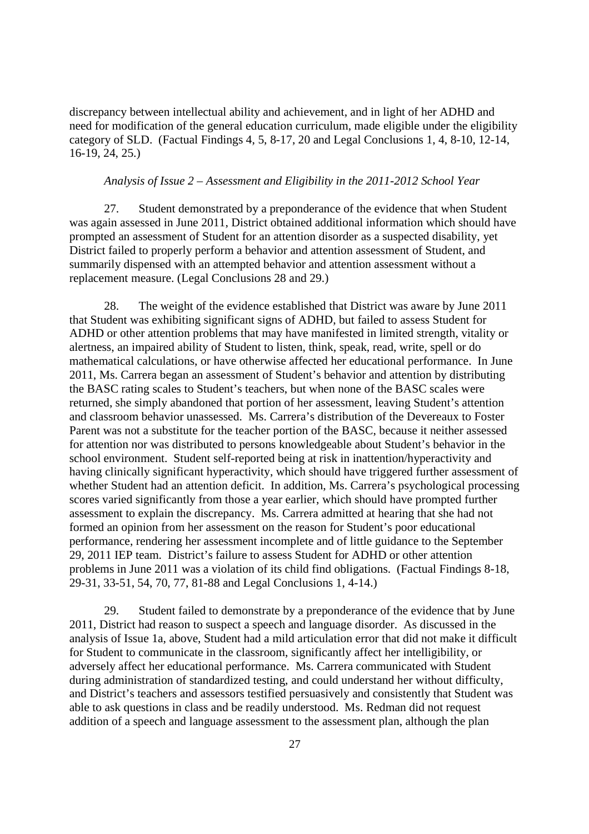discrepancy between intellectual ability and achievement, and in light of her ADHD and need for modification of the general education curriculum, made eligible under the eligibility category of SLD. (Factual Findings 4, 5, 8-17, 20 and Legal Conclusions 1, 4, 8-10, 12-14, 16-19, 24, 25.)

### *Analysis of Issue 2 – Assessment and Eligibility in the 2011-2012 School Year*

27. Student demonstrated by a preponderance of the evidence that when Student was again assessed in June 2011, District obtained additional information which should have prompted an assessment of Student for an attention disorder as a suspected disability, yet District failed to properly perform a behavior and attention assessment of Student, and summarily dispensed with an attempted behavior and attention assessment without a replacement measure. (Legal Conclusions 28 and 29.)

28. The weight of the evidence established that District was aware by June 2011 that Student was exhibiting significant signs of ADHD, but failed to assess Student for ADHD or other attention problems that may have manifested in limited strength, vitality or alertness, an impaired ability of Student to listen, think, speak, read, write, spell or do mathematical calculations, or have otherwise affected her educational performance. In June 2011, Ms. Carrera began an assessment of Student's behavior and attention by distributing the BASC rating scales to Student's teachers, but when none of the BASC scales were returned, she simply abandoned that portion of her assessment, leaving Student's attention and classroom behavior unassessed. Ms. Carrera's distribution of the Devereaux to Foster Parent was not a substitute for the teacher portion of the BASC, because it neither assessed for attention nor was distributed to persons knowledgeable about Student's behavior in the school environment. Student self-reported being at risk in inattention/hyperactivity and having clinically significant hyperactivity, which should have triggered further assessment of whether Student had an attention deficit. In addition, Ms. Carrera's psychological processing scores varied significantly from those a year earlier, which should have prompted further assessment to explain the discrepancy. Ms. Carrera admitted at hearing that she had not formed an opinion from her assessment on the reason for Student's poor educational performance, rendering her assessment incomplete and of little guidance to the September 29, 2011 IEP team. District's failure to assess Student for ADHD or other attention problems in June 2011 was a violation of its child find obligations. (Factual Findings 8-18, 29-31, 33-51, 54, 70, 77, 81-88 and Legal Conclusions 1, 4-14.)

29. Student failed to demonstrate by a preponderance of the evidence that by June 2011, District had reason to suspect a speech and language disorder. As discussed in the analysis of Issue 1a, above, Student had a mild articulation error that did not make it difficult for Student to communicate in the classroom, significantly affect her intelligibility, or adversely affect her educational performance. Ms. Carrera communicated with Student during administration of standardized testing, and could understand her without difficulty, and District's teachers and assessors testified persuasively and consistently that Student was able to ask questions in class and be readily understood. Ms. Redman did not request addition of a speech and language assessment to the assessment plan, although the plan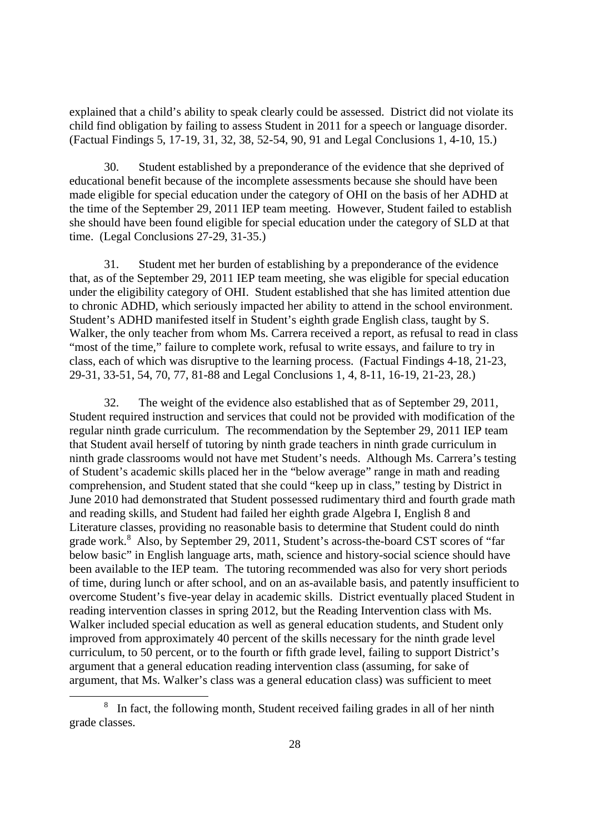explained that a child's ability to speak clearly could be assessed. District did not violate its child find obligation by failing to assess Student in 2011 for a speech or language disorder. (Factual Findings 5, 17-19, 31, 32, 38, 52-54, 90, 91 and Legal Conclusions 1, 4-10, 15.)

30. Student established by a preponderance of the evidence that she deprived of educational benefit because of the incomplete assessments because she should have been made eligible for special education under the category of OHI on the basis of her ADHD at the time of the September 29, 2011 IEP team meeting. However, Student failed to establish she should have been found eligible for special education under the category of SLD at that time. (Legal Conclusions 27-29, 31-35.)

31. Student met her burden of establishing by a preponderance of the evidence that, as of the September 29, 2011 IEP team meeting, she was eligible for special education under the eligibility category of OHI. Student established that she has limited attention due to chronic ADHD, which seriously impacted her ability to attend in the school environment. Student's ADHD manifested itself in Student's eighth grade English class, taught by S. Walker, the only teacher from whom Ms. Carrera received a report, as refusal to read in class "most of the time," failure to complete work, refusal to write essays, and failure to try in class, each of which was disruptive to the learning process. (Factual Findings 4-18, 21-23, 29-31, 33-51, 54, 70, 77, 81-88 and Legal Conclusions 1, 4, 8-11, 16-19, 21-23, 28.)

32. The weight of the evidence also established that as of September 29, 2011, Student required instruction and services that could not be provided with modification of the regular ninth grade curriculum. The recommendation by the September 29, 2011 IEP team that Student avail herself of tutoring by ninth grade teachers in ninth grade curriculum in ninth grade classrooms would not have met Student's needs. Although Ms. Carrera's testing of Student's academic skills placed her in the "below average" range in math and reading comprehension, and Student stated that she could "keep up in class," testing by District in June 2010 had demonstrated that Student possessed rudimentary third and fourth grade math and reading skills, and Student had failed her eighth grade Algebra I, English 8 and Literature classes, providing no reasonable basis to determine that Student could do ninth grade work.<sup>8</sup> Also, by September 29, 2011, Student's across-the-board CST scores of "far below basic" in English language arts, math, science and history-social science should have been available to the IEP team. The tutoring recommended was also for very short periods of time, during lunch or after school, and on an as-available basis, and patently insufficient to overcome Student's five-year delay in academic skills. District eventually placed Student in reading intervention classes in spring 2012, but the Reading Intervention class with Ms. Walker included special education as well as general education students, and Student only improved from approximately 40 percent of the skills necessary for the ninth grade level curriculum, to 50 percent, or to the fourth or fifth grade level, failing to support District's argument that a general education reading intervention class (assuming, for sake of argument, that Ms. Walker's class was a general education class) was sufficient to meet

<sup>8</sup> In fact, the following month, Student received failing grades in all of her ninth grade classes.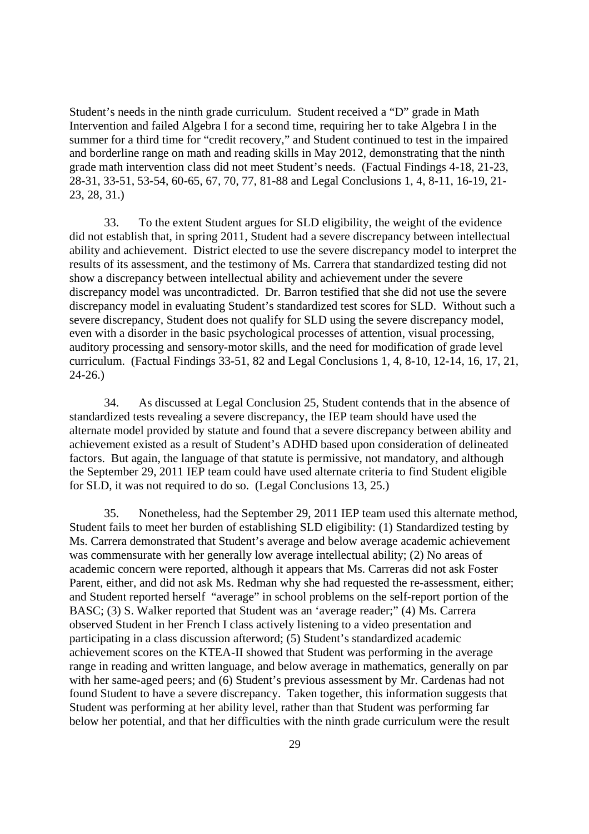Student's needs in the ninth grade curriculum. Student received a "D" grade in Math Intervention and failed Algebra I for a second time, requiring her to take Algebra I in the summer for a third time for "credit recovery," and Student continued to test in the impaired and borderline range on math and reading skills in May 2012, demonstrating that the ninth grade math intervention class did not meet Student's needs. (Factual Findings 4-18, 21-23, 28-31, 33-51, 53-54, 60-65, 67, 70, 77, 81-88 and Legal Conclusions 1, 4, 8-11, 16-19, 21- 23, 28, 31.)

33. To the extent Student argues for SLD eligibility, the weight of the evidence did not establish that, in spring 2011, Student had a severe discrepancy between intellectual ability and achievement. District elected to use the severe discrepancy model to interpret the results of its assessment, and the testimony of Ms. Carrera that standardized testing did not show a discrepancy between intellectual ability and achievement under the severe discrepancy model was uncontradicted. Dr. Barron testified that she did not use the severe discrepancy model in evaluating Student's standardized test scores for SLD. Without such a severe discrepancy, Student does not qualify for SLD using the severe discrepancy model, even with a disorder in the basic psychological processes of attention, visual processing, auditory processing and sensory-motor skills, and the need for modification of grade level curriculum. (Factual Findings 33-51, 82 and Legal Conclusions 1, 4, 8-10, 12-14, 16, 17, 21,  $24-26.$ 

34. As discussed at Legal Conclusion 25, Student contends that in the absence of standardized tests revealing a severe discrepancy, the IEP team should have used the alternate model provided by statute and found that a severe discrepancy between ability and achievement existed as a result of Student's ADHD based upon consideration of delineated factors. But again, the language of that statute is permissive, not mandatory, and although the September 29, 2011 IEP team could have used alternate criteria to find Student eligible for SLD, it was not required to do so. (Legal Conclusions 13, 25.)

35. Nonetheless, had the September 29, 2011 IEP team used this alternate method, Student fails to meet her burden of establishing SLD eligibility: (1) Standardized testing by Ms. Carrera demonstrated that Student's average and below average academic achievement was commensurate with her generally low average intellectual ability; (2) No areas of academic concern were reported, although it appears that Ms. Carreras did not ask Foster Parent, either, and did not ask Ms. Redman why she had requested the re-assessment, either; and Student reported herself "average" in school problems on the self-report portion of the BASC; (3) S. Walker reported that Student was an 'average reader;" (4) Ms. Carrera observed Student in her French I class actively listening to a video presentation and participating in a class discussion afterword; (5) Student's standardized academic achievement scores on the KTEA-II showed that Student was performing in the average range in reading and written language, and below average in mathematics, generally on par with her same-aged peers; and (6) Student's previous assessment by Mr. Cardenas had not found Student to have a severe discrepancy. Taken together, this information suggests that Student was performing at her ability level, rather than that Student was performing far below her potential, and that her difficulties with the ninth grade curriculum were the result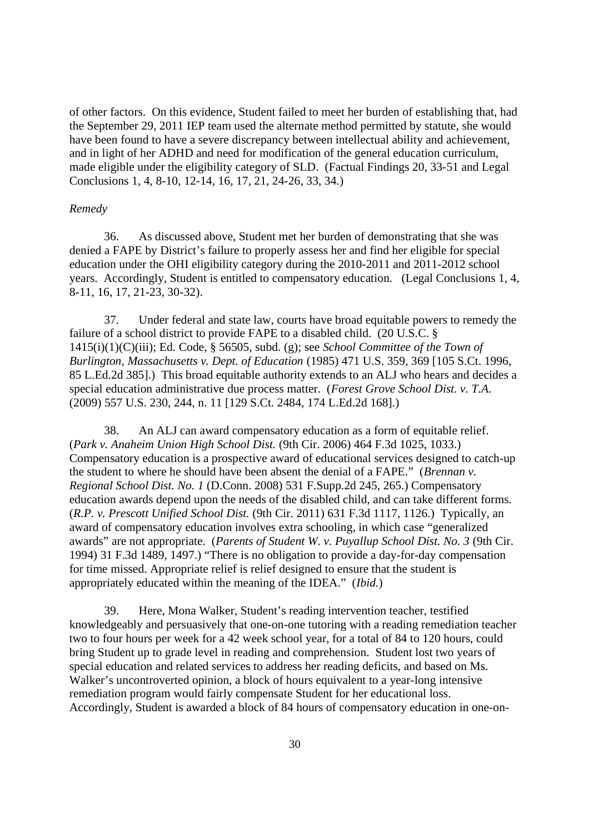of other factors. On this evidence, Student failed to meet her burden of establishing that, had the September 29, 2011 IEP team used the alternate method permitted by statute, she would have been found to have a severe discrepancy between intellectual ability and achievement, and in light of her ADHD and need for modification of the general education curriculum, made eligible under the eligibility category of SLD. (Factual Findings 20, 33-51 and Legal Conclusions 1, 4, 8-10, 12-14, 16, 17, 21, 24-26, 33, 34.)

#### *Remedy*

36. As discussed above, Student met her burden of demonstrating that she was denied a FAPE by District's failure to properly assess her and find her eligible for special education under the OHI eligibility category during the 2010-2011 and 2011-2012 school years. Accordingly, Student is entitled to compensatory education. (Legal Conclusions 1, 4, 8-11, 16, 17, 21-23, 30-32).

37. Under federal and state law, courts have broad equitable powers to remedy the failure of a school district to provide FAPE to a disabled child. (20 U.S.C. § 1415(i)(1)(C)(iii); Ed. Code, § 56505, subd. (g); see *School Committee of the Town of Burlington, Massachusetts v. Dept. of Education* (1985) 471 U.S. 359, 369 [105 S.Ct. 1996, 85 L.Ed.2d 385].) This broad equitable authority extends to an ALJ who hears and decides a special education administrative due process matter. (*Forest Grove School Dist. v. T.A.* (2009) 557 U.S. 230, 244, n. 11 [129 S.Ct. 2484, 174 L.Ed.2d 168].)

38. An ALJ can award compensatory education as a form of equitable relief. (*Park v. Anaheim Union High School Dist.* (9th Cir. 2006) 464 F.3d 1025, 1033.) Compensatory education is a prospective award of educational services designed to catch-up the student to where he should have been absent the denial of a FAPE." (*Brennan v. Regional School Dist. No. 1* (D.Conn. 2008) 531 F.Supp.2d 245, 265.) Compensatory education awards depend upon the needs of the disabled child, and can take different forms. (*R.P. v. Prescott Unified School Dist.* (9th Cir. 2011) 631 F.3d 1117, 1126.) Typically, an award of compensatory education involves extra schooling, in which case "generalized awards" are not appropriate. (*Parents of Student W. v. Puyallup School Dist. No. 3* (9th Cir. 1994) 31 F.3d 1489, 1497.) "There is no obligation to provide a day-for-day compensation for time missed. Appropriate relief is relief designed to ensure that the student is appropriately educated within the meaning of the IDEA." (*Ibid.*)

39. Here, Mona Walker, Student's reading intervention teacher, testified knowledgeably and persuasively that one-on-one tutoring with a reading remediation teacher two to four hours per week for a 42 week school year, for a total of 84 to 120 hours, could bring Student up to grade level in reading and comprehension. Student lost two years of special education and related services to address her reading deficits, and based on Ms. Walker's uncontroverted opinion, a block of hours equivalent to a year-long intensive remediation program would fairly compensate Student for her educational loss. Accordingly, Student is awarded a block of 84 hours of compensatory education in one-on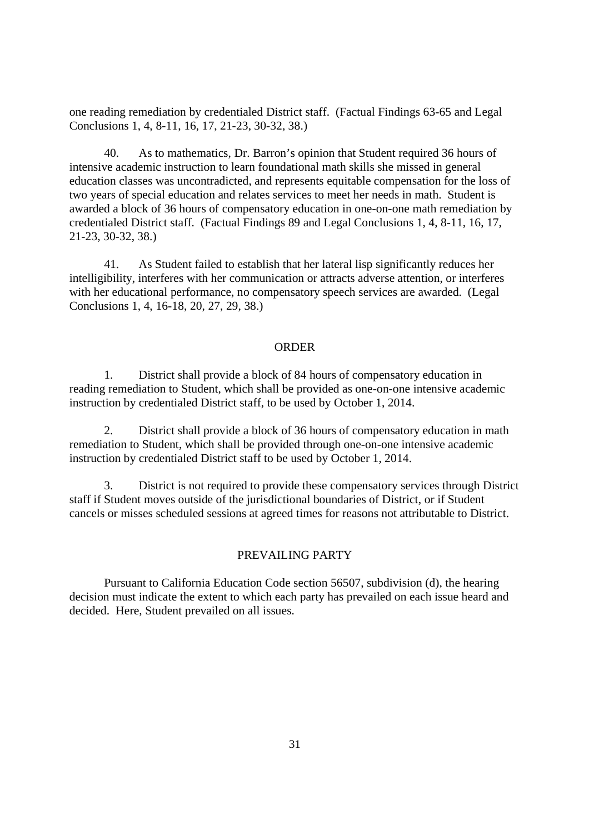one reading remediation by credentialed District staff. (Factual Findings 63-65 and Legal Conclusions 1, 4, 8-11, 16, 17, 21-23, 30-32, 38.)

40. As to mathematics, Dr. Barron's opinion that Student required 36 hours of intensive academic instruction to learn foundational math skills she missed in general education classes was uncontradicted, and represents equitable compensation for the loss of two years of special education and relates services to meet her needs in math. Student is awarded a block of 36 hours of compensatory education in one-on-one math remediation by credentialed District staff. (Factual Findings 89 and Legal Conclusions 1, 4, 8-11, 16, 17, 21-23, 30-32, 38.)

41. As Student failed to establish that her lateral lisp significantly reduces her intelligibility, interferes with her communication or attracts adverse attention, or interferes with her educational performance, no compensatory speech services are awarded. (Legal Conclusions 1, 4, 16-18, 20, 27, 29, 38.)

#### ORDER

1. District shall provide a block of 84 hours of compensatory education in reading remediation to Student, which shall be provided as one-on-one intensive academic instruction by credentialed District staff, to be used by October 1, 2014.

2. District shall provide a block of 36 hours of compensatory education in math remediation to Student, which shall be provided through one-on-one intensive academic instruction by credentialed District staff to be used by October 1, 2014.

3. District is not required to provide these compensatory services through District staff if Student moves outside of the jurisdictional boundaries of District, or if Student cancels or misses scheduled sessions at agreed times for reasons not attributable to District.

#### PREVAILING PARTY

Pursuant to California Education Code section 56507, subdivision (d), the hearing decision must indicate the extent to which each party has prevailed on each issue heard and decided. Here, Student prevailed on all issues.